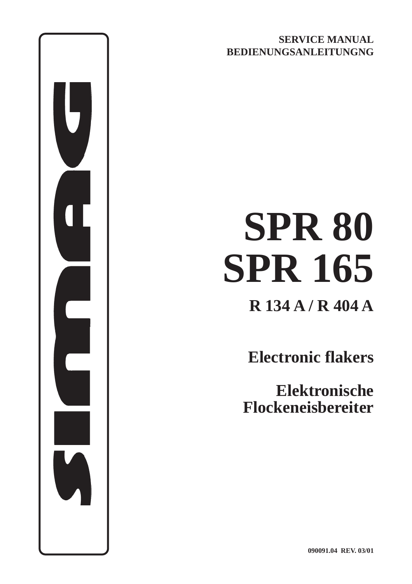**SERVICE MANUAL BEDIENUNGSANLEITUNGNG**

# **SPR 80 SPR 165**

**R 134 A / R 404 A**

**Electronic flakers**

**Elektronische Flockeneisbereiter**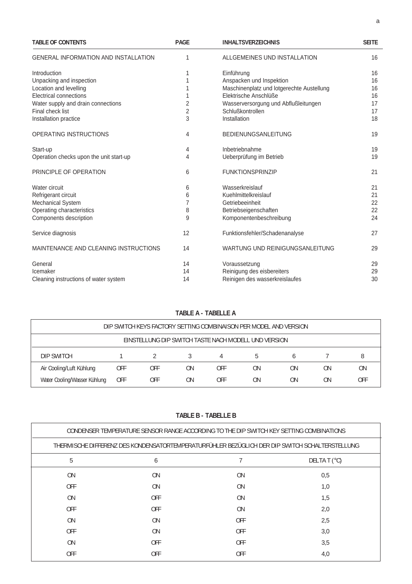| <b>TABLE OF CONTENTS</b>                    | <b>PAGE</b>    | <b>INHALTSVERZEICHNIS</b>                 | <b>SEITE</b> |  |
|---------------------------------------------|----------------|-------------------------------------------|--------------|--|
| <b>GENERAL INFORMATION AND INSTALLATION</b> | 1              | ALLGEMEINES UND INSTALLATION              | 16           |  |
| Introduction                                | 1              | Einführung                                | 16           |  |
| Unpacking and inspection                    |                | Anspacken und Inspektion                  | 16           |  |
| Location and levelling                      |                | Maschinenplatz und lotgerechte Austellung | 16           |  |
| Electrical connections                      |                | Elektrische Anschlüße                     | 16           |  |
| Water supply and drain connections          | 2              | Wasserversorgung und Abflußleitungen      | 17           |  |
| Final check list                            | $\overline{2}$ | Schlußkontrollen                          | 17           |  |
| Installation practice                       | 3              | Installation                              | 18           |  |
| OPERATING INSTRUCTIONS                      | 4              | <b>BEDIENUNGSANLEITUNG</b>                | 19           |  |
| Start-up                                    | 4              | Inbetriebnahme                            | 19           |  |
| Operation checks upon the unit start-up     | 4              | Ueberprüfung im Betrieb                   | 19           |  |
| PRINCIPLE OF OPERATION                      | 6              | <b>FUNKTIONSPRINZIP</b>                   | 21           |  |
| Water circuit                               | 6              | Wasserkreislauf                           | 21           |  |
| Refrigerant circuit                         | 6              | Kuehlmittelkreislauf                      | 21           |  |
| <b>Mechanical System</b>                    | 7              | Getriebeeinheit                           | 22           |  |
| Operating characteristics                   | 8              | Betriebseigenschaften                     | 22           |  |
| Components description                      | 9              | Komponentenbeschreibung                   | 24           |  |
| Service diagnosis                           | 12             | Funktionsfehler/Schadenanalyse            | 27           |  |
| MAINTENANCE AND CLEANING INSTRUCTIONS       | 14             | WARTUNG UND REINIGUNGSANLEITUNG           | 29           |  |
| General                                     | 14             | Voraussetzung                             | 29           |  |
| Icemaker                                    | 14             | Reinigung des eisbereiters                |              |  |
| Cleaning instructions of water system       | 14             | Reinigen des wasserkreislaufes            | 30           |  |

## **TABLE A - TABELLE A**

| DIP SWITCH KEYS FACTORY SETTING COMBINAISON PER MODEL AND VERSION |            |     |    |     |    |    |    |     |
|-------------------------------------------------------------------|------------|-----|----|-----|----|----|----|-----|
| EINSTELLUNG DIP SWITCH TASTE NACH MODELL UND VERSION              |            |     |    |     |    |    |    |     |
| DIP SWITCH                                                        |            |     |    |     | .h |    |    |     |
| Air Cooling/Luft Kühlung                                          | <b>OFF</b> | OFF | ΟN | OFF | ΟN | ΟN | ΟN | ON  |
| Water Cooling/Wasser Kühlung                                      | <b>OFF</b> | OFF | ΟN | OFF | ΟN | ΟN | ΟN | OFF |

**TABLE B - TABELLE B**

| CONDENSER TEMPERATURE SENSOR RANGE ACCORDING TO THE DIP SWITCH KEY SETTING COMBINATIONS        |            |                |  |  |
|------------------------------------------------------------------------------------------------|------------|----------------|--|--|
| THERMISCHE DIFFERENZ DES KONDENSATORTEMPERATURFÜHLER BEZÜGLICH DER DIP SWITCH SCHALTERSTELLUNG |            |                |  |  |
| 6                                                                                              |            | DELTA T $(°C)$ |  |  |
| <b>ON</b>                                                                                      | <b>ON</b>  | 0,5            |  |  |
| 0 <sub>N</sub>                                                                                 | <b>ON</b>  | 1,0            |  |  |
| <b>OFF</b>                                                                                     | <b>ON</b>  | 1,5            |  |  |
| <b>OFF</b>                                                                                     | <b>ON</b>  | 2,0            |  |  |
| 0 <sub>N</sub>                                                                                 | <b>OFF</b> | 2,5            |  |  |
| 0 <sub>N</sub>                                                                                 | <b>OFF</b> | 3,0            |  |  |
| <b>OFF</b>                                                                                     | <b>OFF</b> | 3,5            |  |  |
| <b>OFF</b>                                                                                     | <b>OFF</b> | 4,0            |  |  |
|                                                                                                |            |                |  |  |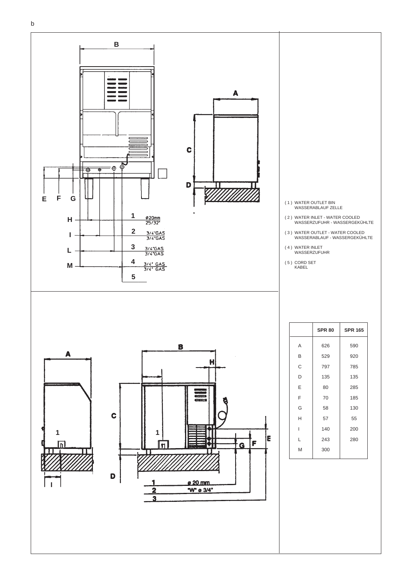

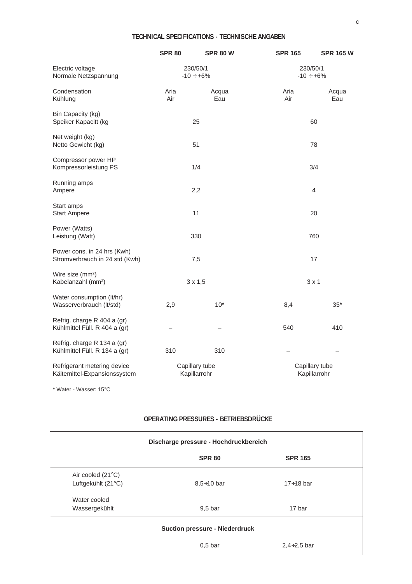|                                                                | <b>SPR 80</b>                  | <b>SPR 80 W</b> | <b>SPR 165</b>                 | <b>SPR 165 W</b> |
|----------------------------------------------------------------|--------------------------------|-----------------|--------------------------------|------------------|
| Electric voltage<br>Normale Netzspannung                       | 230/50/1<br>$-10 \div +6\%$    |                 | 230/50/1<br>$-10 \div +6\%$    |                  |
| Condensation<br>Kühlung                                        | Aria<br>Air                    | Acqua<br>Eau    | Aria<br>Air                    | Acqua<br>Eau     |
| Bin Capacity (kg)<br>Speiker Kapacitt (kg                      | 25                             |                 | 60                             |                  |
| Net weight (kg)<br>Netto Gewicht (kg)                          | 51                             |                 | 78                             |                  |
| Compressor power HP<br>Kompressorleistung PS                   | 1/4                            |                 | 3/4                            |                  |
| Running amps<br>Ampere                                         | 2,2                            |                 | 4                              |                  |
| Start amps<br><b>Start Ampere</b>                              | 11                             |                 | 20                             |                  |
| Power (Watts)<br>Leistung (Watt)                               | 330                            |                 | 760                            |                  |
| Power cons. in 24 hrs (Kwh)<br>Stromverbrauch in 24 std (Kwh)  | 7,5                            |                 | 17                             |                  |
| Wire size (mm <sup>2</sup> )<br>Kabelanzahl (mm <sup>2</sup> ) | $3 \times 1,5$                 |                 | $3 \times 1$                   |                  |
| Water consumption (lt/hr)<br>Wasserverbrauch (lt/std)          | 2,9                            | $10*$           | 8,4                            | $35*$            |
| Refrig. charge R 404 a (gr)<br>Kühlmittel Füll. R 404 a (gr)   |                                |                 | 540                            | 410              |
| Refrig. charge R 134 a (gr)<br>Kühlmittel Füll. R 134 a (gr)   | 310                            | 310             |                                |                  |
| Refrigerant metering device<br>Kältemittel-Expansionssystem    | Capillary tube<br>Kapillarrohr |                 | Capillary tube<br>Kapillarrohr |                  |

\* Water - Wasser: 15°C

#### **OPERATING PRESSURES - BETRIEBSDRÜCKE**

| Discharge pressure - Hochdruckbereich |                    |                  |  |
|---------------------------------------|--------------------|------------------|--|
|                                       | <b>SPR 80</b>      | <b>SPR 165</b>   |  |
| Air cooled (21°C)                     |                    |                  |  |
| Luftgekühlt (21°C)                    | $8.5 \div 10$ bar  | $17 \div 18$ bar |  |
| Water cooled                          |                    |                  |  |
| Wassergekühlt                         | 9.5 <sub>bar</sub> | 17 bar           |  |
| <b>Suction pressure - Niederdruck</b> |                    |                  |  |
|                                       | 0.5 <sub>bar</sub> | $2,4+2,5$ bar    |  |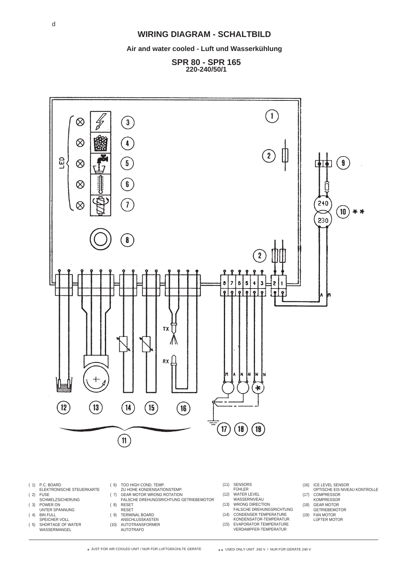#### **WIRING DIAGRAM - SCHALTBILD**

**Air and water cooled - Luft und Wasserkühlung**

**SPR 80 - SPR 165 220-240/50/1**



- ( 1) P.C. BOARD
- ELEKTRONISCHE STEUERKARTE  $(2)$  FUSE
- SCHMELZSICHERUNG ( 3) POWER ON
- UNTER SPANNUNG
- ( 4) BIN FULL SPEICHER VOLL
- ( 5) SHORTAGE OF WATER WASSERMANGEL
- ( 6) TOO HIGH COND. TEMP.
- ZU HOHE KONDENSATIONSTEMP. ( 7) GEAR MOTOR WRONG ROTATION
- FALSCHE DREHUNGSRICHTUNG GETRIEBEMOTOR
- ( 8) RESET
- RESET ( 9) TERMINAL BOARD
- ANSCHLUSSKASTEN
- (10) AUTOTRANSFORMER AUTOTRAFO
- (12) WATER LEVEL **WASSERNIVEAU**
- (13) WRONG DIRECTION
- FALSCHE DREHUNGSRICHTUNG (14) CONDENSER TEMPERATURE
- KONDENSATOR-TEMPERATUR (15) EVAPORATOR TEMPERATURE VERDAMPFER-TEMPERATUR
- (16) ICE LEVEL SENSOR OPTISCHE EIS NIVEAU KONTROLLE
- (17) COMPRESSOR **KOMPRESSOR**
- (18) GEAR MOTOR
- **GETRIEBEMOTOR** (19) FAN MOTOR
	- LÜFTER MOTOR

 $\star$  JUST FOR AIR COOLED UNIT / NUR FÜR LUFTGEKÜHLTE GERÄTE

\*\* USED ONLY UNIT 240 V / NUR FÜR GERÄTE 240 V

(11) SENSORS FÜHLER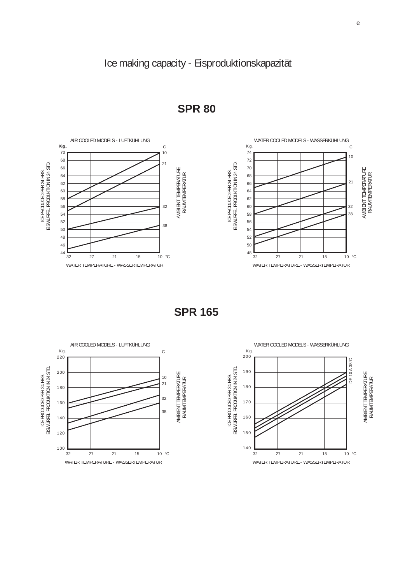

**SPR 80**

**SPR 165**

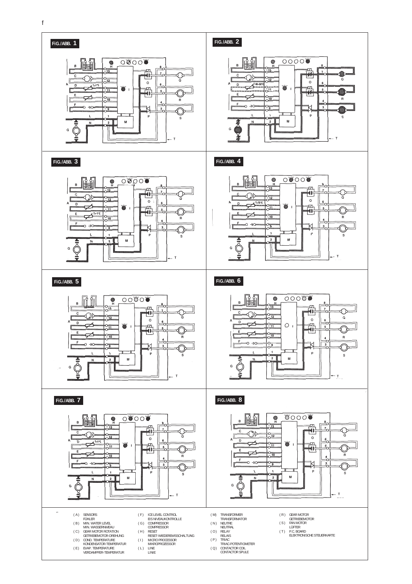

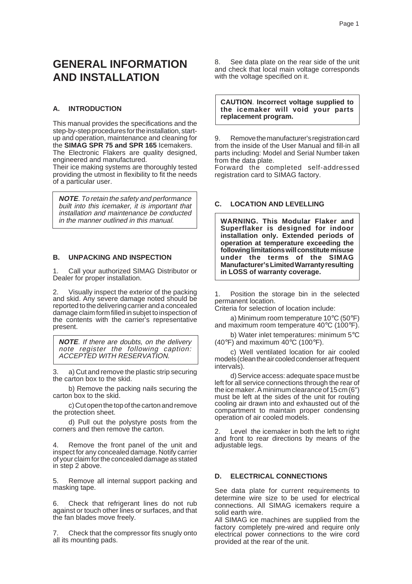# **GENERAL INFORMATION AND INSTALLATION**

#### **A. INTRODUCTION**

This manual provides the specifications and the step-by-step procedures for the installation, startup and operation, maintenance and cleaning for the **SIMAG SPR 75 and SPR 165** Icemakers. The Electronic Flakers are quality designed, engineered and manufactured.

Their ice making systems are thoroughly tested providing the utmost in flexibility to fit the needs of a particular user.

**NOTE**. To retain the safety and performance built into this icemaker, it is important that installation and maintenance be conducted in the manner outlined in this manual.

#### **B. UNPACKING AND INSPECTION**

1. Call your authorized SIMAG Distributor or Dealer for proper installation.

2. Visually inspect the exterior of the packing and skid. Any severe damage noted should be reported to the delivering carrier and a concealed damage claim form filled in subjet to inspection of the contents with the carrier's representative present.

**NOTE**. If there are doubts, on the delivery note register the following caption: ACCEPTED WITH RESERVATION.

a) Cut and remove the plastic strip securing the carton box to the skid.

b) Remove the packing nails securing the carton box to the skid.

c) Cut open the top of the carton and remove the protection sheet.

d) Pull out the polystyre posts from the corners and then remove the carton.

4. Remove the front panel of the unit and inspect for any concealed damage. Notify carrier of your claim for the concealed damage as stated in step 2 above.

5. Remove all internal support packing and masking tape.

6. Check that refrigerant lines do not rub against or touch other lines or surfaces, and that the fan blades move freely.

7. Check that the compressor fits snugly onto all its mounting pads.

8. See data plate on the rear side of the unit and check that local main voltage corresponds with the voltage specified on it.

**CAUTION**. **Incorrect voltage supplied to the icemaker will void your parts replacement program.**

9. Remove the manufacturer's registration card from the inside of the User Manual and fill-in all parts including: Model and Serial Number taken from the data plate.

Forward the completed self-addressed registration card to SIMAG factory.

#### **C. LOCATION AND LEVELLING**

**WARNING. This Modular Flaker and Superflaker is designed for indoor installation only. Extended periods of operation at temperature exceeding the following limitations will constitute misuse under the terms of the SIMAG Manufacturer's Limited Warranty resulting in LOSS of warranty coverage.**

1. Position the storage bin in the selected permanent location.

Criteria for selection of location include:

a) Minimum room temperature 10°C (50°F) and maximum room temperature 40°C (100°F).

b) Water inlet temperatures: minimum 5°C  $(40^{\circ}F)$  and maximum  $40^{\circ}C$  (100 $^{\circ}F$ ).

c) Well ventilated location for air cooled models (clean the air cooled condenser at frequent intervals).

d) Service access: adequate space must be left for all service connections through the rear of the ice maker. A minimum clearance of 15 cm (6") must be left at the sides of the unit for routing cooling air drawn into and exhausted out of the compartment to maintain proper condensing operation of air cooled models.

2. Level the icemaker in both the left to right and front to rear directions by means of the adjustable legs.

#### **D. ELECTRICAL CONNECTIONS**

See data plate for current requirements to determine wire size to be used for electrical connections. All SIMAG icemakers require a solid earth wire.

All SIMAG ice machines are supplied from the factory completely pre-wired and require only electrical power connections to the wire cord provided at the rear of the unit.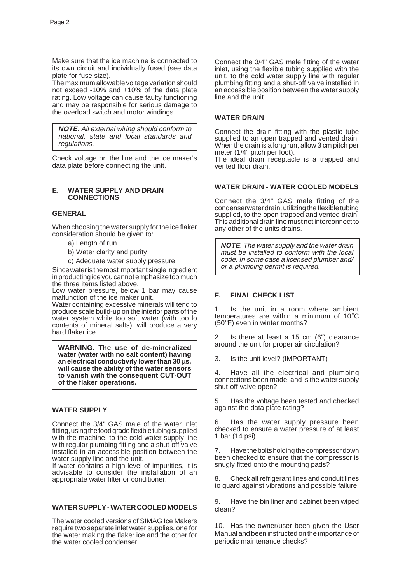Make sure that the ice machine is connected to its own circuit and individually fused (see data plate for fuse size).

The maximum allowable voltage variation should not exceed -10% and +10% of the data plate rating. Low voltage can cause faulty functioning and may be responsible for serious damage to the overload switch and motor windings.

**NOTE**. All external wiring should conform to national, state and local standards and regulations.

Check voltage on the line and the ice maker's data plate before connecting the unit.

#### **E. WATER SUPPLY AND DRAIN CONNECTIONS**

#### **GENERAL**

When choosing the water supply for the ice flaker consideration should be given to:

- a) Length of run
- b) Water clarity and purity
- c) Adequate water supply pressure

Since water is the most important single ingredient in producting ice you cannot emphasize too much the three items listed above.

Low water pressure, below 1 bar may cause malfunction of the ice maker unit.

Water containing excessive minerals will tend to produce scale build-up on the interior parts of the water system while too soft water (with too lo contents of mineral salts), will produce a very hard flaker ice.

**WARNING. The use of de-mineralized water (water with no salt content) having an electrical conductivity lower than 30** µ**s, will cause the ability of the water sensors to vanish with the consequent CUT-OUT of the flaker operations.**

#### **WATER SUPPLY**

Connect the 3/4" GAS male of the water inlet fitting, using the food grade flexible tubing supplied with the machine, to the cold water supply line with regular plumbing fitting and a shut-off valve installed in an accessible position between the water supply line and the unit.

If water contains a high level of impurities, it is advisable to consider the installation of an appropriate water filter or conditioner.

#### **WATER SUPPLY - WATER COOLED MODELS**

The water cooled versions of SIMAG Ice Makers require two separate inlet water supplies, one for the water making the flaker ice and the other for the water cooled condenser.

Connect the 3/4" GAS male fitting of the water inlet, using the flexible tubing supplied with the unit, to the cold water supply line with regular plumbing fitting and a shut-off valve installed in an accessible position between the water supply line and the unit.

#### **WATER DRAIN**

Connect the drain fitting with the plastic tube supplied to an open trapped and vented drain. When the drain is a long run, allow 3 cm pitch per meter (1/4" pitch per foot).

The ideal drain receptacle is a trapped and vented floor drain.

#### **WATER DRAIN - WATER COOLED MODELS**

Connect the 3/4" GAS male fitting of the condenserwater drain, utilizing the flexible tubing supplied, to the open trapped and vented drain. This additional drain line must not interconnect to any other of the units drains.

**NOTE**. The water supply and the water drain must be installed to conform with the local code. In some case a licensed plumber and/ or a plumbing permit is required.

#### **F. FINAL CHECK LIST**

1. Is the unit in a room where ambient temperatures are within a minimum of 10°C (50°F) even in winter months?

2. Is there at least a 15 cm (6") clearance around the unit for proper air circulation?

3. Is the unit level? (IMPORTANT)

4. Have all the electrical and plumbing connections been made, and is the water supply shut-off valve open?

5. Has the voltage been tested and checked against the data plate rating?

6. Has the water supply pressure been checked to ensure a water pressure of at least 1 bar (14 psi).

Have the bolts holding the compressor down been checked to ensure that the compressor is snugly fitted onto the mounting pads?

8. Check all refrigerant lines and conduit lines to guard against vibrations and possible failure.

9. Have the bin liner and cabinet been wiped clean?

10. Has the owner/user been given the User Manual and been instructed on the importance of periodic maintenance checks?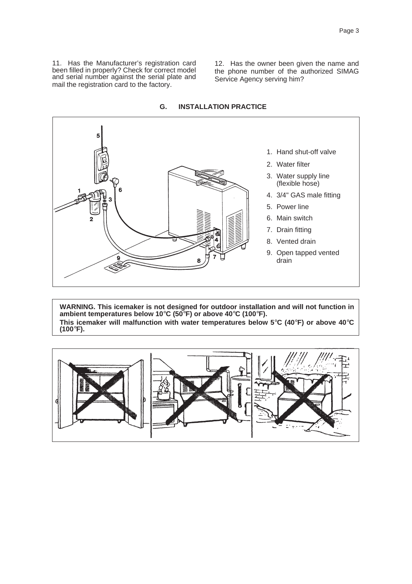11. Has the Manufacturer's registration card been filled in properly? Check for correct model and serial number against the serial plate and mail the registration card to the factory.

12. Has the owner been given the name and the phone number of the authorized SIMAG Service Agency serving him?



#### **G. INSTALLATION PRACTICE**

**WARNING. This icemaker is not designed for outdoor installation and will not function in ambient temperatures below 10**°**C (50**°**F) or above 40**°**C (100**°**F). This icemaker will malfunction with water temperatures below 5**°**C (40**°**F) or above 40**°**C (100**°**F).**

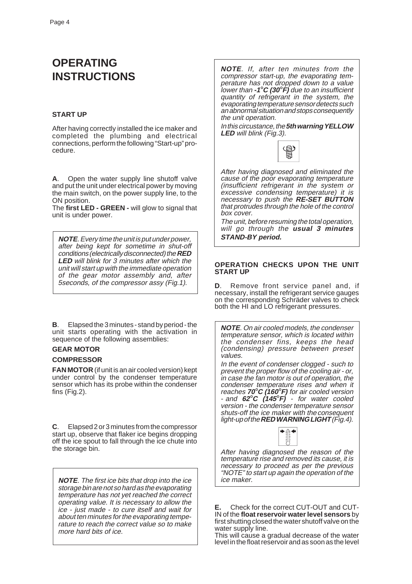# **OPERATING INSTRUCTIONS**

#### **START UP**

After having correctly installed the ice maker and completed the plumbing and electrical connections, perform the following "Start-up" procedure.

**A**. Open the water supply line shutoff valve and put the unit under electrical power by moving the main switch, on the power supply line, to the ON position.

The **first LED - GREEN -** will glow to signal that unit is under power.

**NOTE**. Every time the unit is put under power, after being kept for sometime in shut-off conditions (electrically disconnected) the **RED LED** will blink for 3 minutes after which the unit will start up with the immediate operation of the gear motor assembly and, after 5seconds, of the compressor assy (Fig.1).

**B**. Elapsed the 3 minutes - stand by period - the unit starts operating with the activation in sequence of the following assemblies:

#### **GEAR MOTOR COMPRESSOR**

**FAN MOTOR** (if unit is an air cooled version) kept under control by the condenser temperature sensor which has its probe within the condenser fins (Fig.2).

**C**. Elapsed 2 or 3 minutes from the compressor start up, observe that flaker ice begins dropping off the ice spout to fall through the ice chute into the storage bin.

**NOTE**. The first ice bits that drop into the ice storage bin are not so hard as the evaporating temperature has not yet reached the correct operating value. It is necessary to allow the ice - just made - to cure itself and wait for about ten minutes for the evaporating temperature to reach the correct value so to make more hard bits of ice.

**NOTE**. If, after ten minutes from the compressor start-up, the evaporating temperature has not dropped down to a value lower than **-1**°**C (30**°**F)** due to an insufficient quantity of refrigerant in the system, the evaporating temperature sensor detects such an abnormal situation and stops consequently the unit operation.

In this circustance, the **5th warning YELLOW LED** will blink (Fig.3).



After having diagnosed and eliminated the cause of the poor evaporating temperature (insufficient refrigerant in the system or excessive condensing temperature) it is necessary to push the **RE-SET BUTTON** that protrudes through the hole of the control box cover.

The unit, before resuming the total operation, will go through the **usual 3 minutes STAND-BY period.**

#### **OPERATION CHECKS UPON THE UNIT START UP**

**D**. Remove front service panel and, if necessary, install the refrigerant service gauges on the corresponding Schräder valves to check both the HI and LO refrigerant pressures.

**NOTE**. On air cooled models, the condenser temperature sensor, which is located within the condenser fins, keeps the head (condensing) pressure between preset values.

In the event of condenser clogged - such to prevent the proper flow of the cooling air - or, in case the fan motor is out of operation, the condenser temperature rises and when it reaches **70**°**C (160**°**F)** for air cooled version - and **62**°**C (145**°**F)** - for water cooled version - the condenser temperature sensor shuts-off the ice maker with the consequent light-up of the **RED WARNING LIGHT** (Fig.4).



After having diagnosed the reason of the temperature rise and removed its cause, it is necessary to proceed as per the previous "NOTE" to start up again the operation of the ice maker.

**E.** Check for the correct CUT-OUT and CUT-IN of the **float reservoir water level sensors** by first shutting closed the water shutoff valve on the water supply line.

This will cause a gradual decrease of the water level in the float reservoir and as soon as the level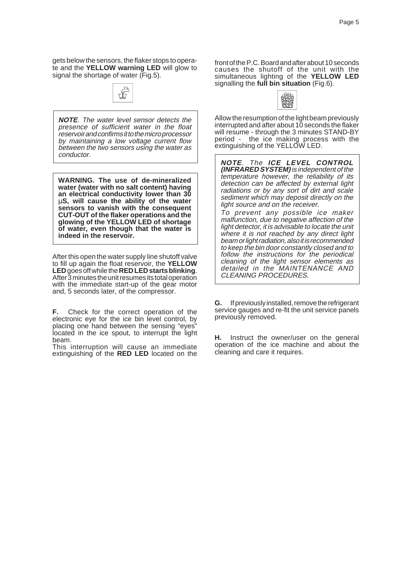gets below the sensors, the flaker stops to operate and the **YELLOW warning LED** will glow to signal the shortage of water (Fig.5).



**NOTE**. The water level sensor detects the presence of sufficient water in the float reservoir and confirms it to the micro processor by maintaining a low voltage current flow between the two sensors using the water as conductor.

**WARNING. The use of de-mineralized water (water with no salt content) having an electrical conductivity lower than 30** µ**S, will cause the ability of the water sensors to vanish with the consequent CUT-OUT of the flaker operations and the glowing of the YELLOW LED of shortage of water, even though that the water is indeed in the reservoir.**

After this open the water supply line shutoff valve to fill up again the float reservoir, the **YELLOW LED** goes off while the **RED LED starts blinking**. After 3 minutes the unit resumes its total operation with the immediate start-up of the gear motor and, 5 seconds later, of the compressor.

**F.** Check for the correct operation of the electronic eye for the ice bin level control, by placing one hand between the sensing "eyes" located in the ice spout, to interrupt the light beam.

This interruption will cause an immediate extinguishing of the **RED LED** located on the

front of the P.C. Board and after about 10 seconds causes the shutoff of the unit with the simultaneous lighting of the **YELLOW LED** signalling the **full bin situation** (Fig.6).

|--|--|--|

Allow the resumption of the light beam previously interrupted and after about 10 seconds the flaker will resume - through the 3 minutes STAND-BY period - the ice making process with the extinguishing of the YELLOW LED.

**NOTE**. The **ICE LEVEL CONTROL (INFRARED SYSTEM)** is independent of the temperature however, the reliability of its detection can be affected by external light radiations or by any sort of dirt and scale sediment which may deposit directly on the light source and on the receiver. To prevent any possible ice maker malfunction, due to negative affection of the

light detector, it is advisable to locate the unit where it is not reached by any direct light beam or light radiation, also it is recommended to keep the bin door constantly closed and to follow the instructions for the periodical cleaning of the light sensor elements as detailed in the MAINTENANCE AND CLEANING PROCEDURES.

**G.** If previously installed, remove the refrigerant service gauges and re-fit the unit service panels previously removed.

**H.** Instruct the owner/user on the general operation of the ice machine and about the cleaning and care it requires.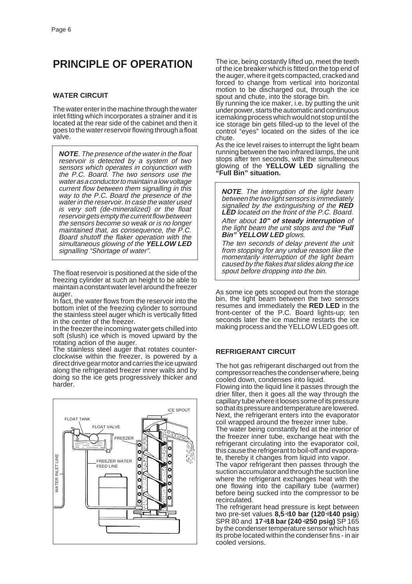# **PRINCIPLE OF OPERATION**

#### **WATER CIRCUIT**

The water enter in the machine through the water inlet fitting which incorporates a strainer and it is located at the rear side of the cabinet and then it goes to the water reservoir flowing through a float valve.

**NOTE**. The presence of the water in the float reservoir is detected by a system of two sensors which operates in conjunction with the P.C. Board. The two sensors use the water as a conductor to maintain a low voltage current flow between them signalling in this way to the P.C. Board the presence of the water in the reservoir. In case the water used is very soft (de-mineralized) or the float reservoir gets empty the current flow between the sensors become so weak or is no longer maintained that, as consequence, the P.C. Board shutoff the flaker operation with the simultaneous glowing of the **YELLOW LED** signalling "Shortage of water".

The float reservoir is positioned at the side of the freezing cylinder at such an height to be able to maintain a constant water level around the freezer auger.

In fact, the water flows from the reservoir into the bottom inlet of the freezing cylinder to sorround the stainless steel auger which is vertically fitted in the center of the freezer.

In the freezer the incoming water gets chilled into soft (slush) ice which is moved upward by the rotating action of the auger.

The stainless steel auger that rotates counterclockwise within the freezer, is powered by a direct drive gear motor and carries the ice upward along the refrigerated freezer inner walls and by doing so the ice gets progressively thicker and harder



The ice, being costantly lifted up, meet the teeth of the ice breaker which is fitted on the top end of the auger, where it gets compacted, cracked and forced to change from vertical into horizontal motion to be discharged out, through the ice spout and chute, into the storage bin.

By running the ice maker, i.e. by putting the unit under power, starts the automatic and continuous icemaking process which would not stop until the ice storage bin gets filled-up to the level of the control "eyes" located on the sides of the ice chute.

As the ice level raises to interrupt the light beam running between the two infrared lamps, the unit stops after ten seconds, with the simulteneous glowing of the **YELLOW LED** signalling the **"Full Bin" situation.**

**NOTE**. The interruption of the light beam between the two light sensors is immediately signalled by the extinguishing of the **RED** LED located on the front of the P.C. Board. After about **10" of steady interruption** of the light beam the unit stops and the **"Full Bin" YELLOW LED** glows.

The ten seconds of delay prevent the unit from stopping for any undue reason like the momentarily interruption of the light beam caused by the flakes that slides along the ice spout before dropping into the bin.

As some ice gets scooped out from the storage bin, the light beam between the two sensors resumes and immediately the **RED LED** in the front-center of the P.C. Board lights-up; ten seconds later the ice machine restarts the ice making process and the YELLOW LED goes off.

#### **REFRIGERANT CIRCUIT**

The hot gas refrigerant discharged out from the compressor reaches the condenser where, being cooled down, condenses into liquid.

Flowing into the liquid line it passes through the drier filter, then it goes all the way through the capillary tube where it looses some of its pressure so that its pressure and temperature are lowered. Next, the refrigerant enters into the evaporator coil wrapped around the freezer inner tube.

The water being constantly fed at the interior of the freezer inner tube, exchange heat with the refrigerant circulating into the evaporator coil, this cause the refrigerant to boil-off and evaporate, thereby it changes from liquid into vapor.

The vapor refrigerant then passes through the suction accumulator and through the suction line where the refrigerant exchanges heat with the one flowing into the capillary tube (warmer) before being sucked into the compressor to be recirculated.

The refrigerant head pressure is kept between two pre-set values **8,5**÷**10 bar (120**÷**140 psig**) SPR 80 and **17**÷**18 bar (240**÷**250 psig)** SP 165 by the condenser temperature sensor which has its probe located within the condenser fins - in air cooled versions.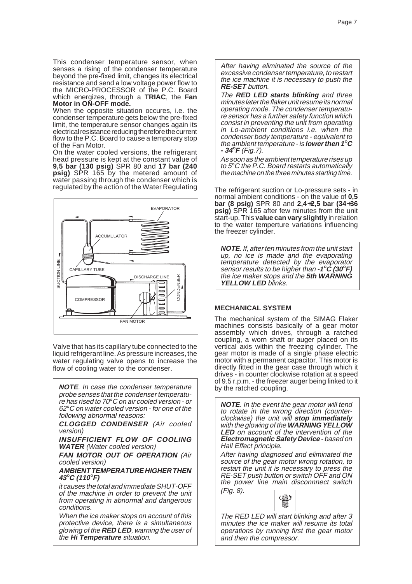This condenser temperature sensor, when senses a rising of the condenser temperature beyond the pre-fixed limit, changes its electrical resistance and send a low voltage power flow to the MICRO-PROCESSOR of the P.C. Board which energizes, through a **TRIAC**, the **Fan Motor in ON-OFF mode.**

When the opposite situation occures, i.e. the condenser temperature gets below the pre-fixed limit, the temperature sensor changes again its electrical resistance reducing therefore the current flow to the P.C. Board to cause a temporary stop of the Fan Motor.

On the water cooled versions, the refrigerant head pressure is kept at the constant value of **9,5 bar (130 psig)** SPR 80 and **17 bar (240 psig)** SPR 165 by the metered amount of water passing through the condenser which is regulated by the action of the Water Regulating



Valve that has its capillary tube connected to the liquid refrigerant line. As pressure increases, the water regulating valve opens to increase the flow of cooling water to the condenser.

**NOTE**. In case the condenser temperature probe senses that the condenser temperature has rised to 70°C on air cooled version - or 62°C on water cooled version - for one of the following abnormal reasons:

**CLOGGED CONDENSER** (Air cooled version)

**INSUFFICIENT FLOW OF COOLING WATER** (Water cooled version)

**FAN MOTOR OUT OF OPERATION** (Air cooled version)

#### **AMBIENT TEMPERATURE HIGHER THEN <sup>43</sup>**°**C (110**°**F)**

it causes the total and immediate SHUT-OFF of the machine in order to prevent the unit from operating in abnormal and dangerous conditions.

When the ice maker stops on account of this protective device, there is a simultaneous glowing of the **RED LED**, warning the user of the **Hi Temperature** situation.

After having eliminated the source of the excessive condenser temperature, to restart the ice machine it is necessary to push the **RE-SET** button.

The **RED LED starts blinking** and three minutes later the flaker unit resume its normal operating mode. The condenser temperature sensor has a further safety function which consist in preventing the unit from operating in Lo-ambient conditions i.e. when the condenser body temperature - equivalent to the ambient temperature - is **lower then 1**°**<sup>C</sup> - 34**°**F** (Fig.7).

As soon as the ambient temperature rises up to  $5^\circ$ C the P.C. Board restarts automatically the machine on the three minutes starting time.

The refrigerant suction or Lo-pressure sets - in normal ambient conditions - on the value of **0,5 bar (8 psig)** SPR 80 and **2,4**÷**2,5 bar (34**÷**36 psig)** SPR 165 after few minutes from the unit start-up. This **value can vary slightly** in relation to the water temperture variations influencing the freezer cylinder.

**NOTE**. If, after ten minutes from the unit start up, no ice is made and the evaporating temperature detected by the evaporator sensor results to be higher than **-1**°**C (30**°**F)** the ice maker stops and the **5th WARNING YELLOW LED** blinks.

#### **MECHANICAL SYSTEM**

The mechanical system of the SIMAG Flaker machines consists basically of a gear motor assembly which drives, through a ratched coupling, a worn shaft or auger placed on its vertical axis within the freezing cylinder. The gear motor is made of a single phase electric motor with a permanent capacitor. This motor is directly fitted in the gear case through which it drives - in counter clockwise rotation at a speed of 9.5 r.p.m. - the freezer auger being linked to it by the ratched coupling.

**NOTE**. In the event the gear motor will tend to rotate in the wrong direction (counterclockwise) the unit will **stop immediately** with the glowing of the **WARNING YELLOW LED** on account of the intervention of the **Electromagnetic Safety Device** - based on Hall Effect principle.

After having diagnosed and eliminated the source of the gear motor wrong rotation, to restart the unit it is necessary to press the RE-SET push button or switch OFF and ON the power line main disconnnect switch (Fig. 8).



The RED LED will start blinking and after 3 minutes the ice maker will resume its total operations by running first the gear motor and then the compressor.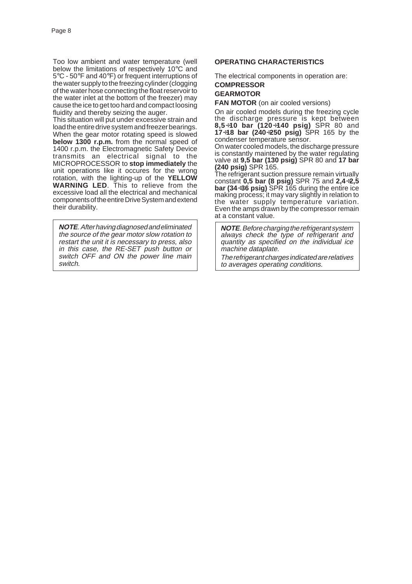Too low ambient and water temperature (well below the limitations of respectively 10°C and 5°C - 50°F and 40°F) or frequent interruptions of the water supply to the freezing cylinder (clogging of the water hose connecting the float reservoir to the water inlet at the bottom of the freezer) may cause the ice to get too hard and compact loosing fluidity and thereby seizing the auger.

This situation will put under excessive strain and load the entire drive system and freezer bearings. When the gear motor rotating speed is slowed **below 1300 r.p.m.** from the normal speed of 1400 r.p.m. the Electromagnetic Safety Device transmits an electrical signal to the MICROPROCESSOR to **stop immediately** the unit operations like it occures for the wrong rotation, with the lighting-up of the **YELLOW WARNING LED**. This to relieve from the excessive load all the electrical and mechanical components of the entire Drive System and extend their durability.

**NOTE**. After having diagnosed and eliminated the source of the gear motor slow rotation to restart the unit it is necessary to press, also in this case, the RE-SET push button or switch OFF and ON the power line main switch.

#### **OPERATING CHARACTERISTICS**

The electrical components in operation are: **COMPRESSOR**

# **GEARMOTOR**

**FAN MOTOR** (on air cooled versions)

On air cooled models during the freezing cycle the discharge pressure is kept between **8,5**÷**10 bar (120**÷**140 psig)** SPR 80 and **17**÷**18 bar (240**÷**250 psig)** SPR 165 by the condenser temperature sensor.

On water cooled models, the discharge pressure is constantly maintened by the water regulating valve at **9,5 bar (130 psig)** SPR 80 and **17 bar (240 psig)** SPR 165.

The refrigerant suction pressure remain virtually constant **0,5 bar (8 psig)** SPR 75 and **2,4**÷**2,5 bar (34**÷**36 psig)** SPR 165 during the entire ice making process; it may vary slightly in relation to the water supply temperature variation. Even the amps drawn by the compressor remain at a constant value.

**NOTE**. Before charging the refrigerant system always check the type of refrigerant and quantity as specified on the individual ice machine dataplate.

The refrigerant charges indicated are relatives to averages operating conditions.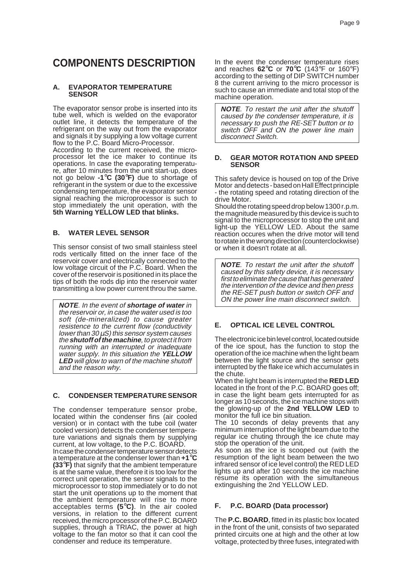# **COMPONENTS DESCRIPTION**

#### **A. EVAPORATOR TEMPERATURE SENSOR**

The evaporator sensor probe is inserted into its tube well, which is welded on the evaporator outlet line, it detects the temperature of the refrigerant on the way out from the evaporator and signals it by supplying a low voltage current flow to the P.C. Board Micro-Processor.

According to the current received, the microprocessor let the ice maker to continue its operations. In case the evaporating temperature, after 10 minutes from the unit start-up, does not go below **-1**°**C (30**°**F)** due to shortage of refrigerant in the system or due to the excessive condensing temperature, the evaporator sensor signal reaching the microprocessor is such to stop immediately the unit operation, with the **5th Warning YELLOW LED that blinks.**

## **B. WATER LEVEL SENSOR**

This sensor consist of two small stainless steel rods vertically fitted on the inner face of the reservoir cover and electrically connected to the low voltage circuit of the P.C. Board. When the cover of the reservoir is positioned in its place the tips of both the rods dip into the reservoir water transmitting a low power current throu the same.

**NOTE**. In the event of **shortage of water** in the reservoir or, in case the water used is too soft (de-mineralized) to cause greater resistence to the current flow (conductivity lower than 30 µS) this sensor system causes the **shutoff of the machine**, to protect it from running with an interrupted or inadequate water supply. In this situation the **YELLOW LED** will glow to warn of the machine shutoff and the reason why.

## **C. CONDENSER TEMPERATURE SENSOR**

The condenser temperature sensor probe, located within the condenser fins (air cooled version) or in contact with the tube coil (water cooled version) detects the condenser temperature variations and signals them by supplying current, at low voltage, to the P.C. BOARD.

In case the condenser temperature sensor detects a temperature at the condenser lower than **+1**°**C (33**°**F)** that signify that the ambient temperature is at the same value, therefore it is too low for the correct unit operation, the sensor signals to the microprocessor to stop immediately or to do not start the unit operations up to the moment that the ambient temperature will rise to more acceptables terms **(5**°**C)**. In the air cooled versions, in relation to the different current received, the micro processor of the P.C. BOARD supplies, through a TRIAC, the power at high voltage to the fan motor so that it can cool the condenser and reduce its temperature.

In the event the condenser temperature rises and reaches **62**°**C** or **70**°**C** (143°F or 160°F) according to the setting of DIP SWITCH number 8 the current arriving to the micro processor is such to cause an immediate and total stop of the machine operation.

**NOTE**. To restart the unit after the shutoff caused by the condenser temperature, it is necessary to push the RE-SET button or to switch OFF and ON the power line main disconnect Switch.

#### **D. GEAR MOTOR ROTATION AND SPEED SENSOR**

This safety device is housed on top of the Drive Motor and detects - based on Hall Effect principle - the rotating speed and rotating direction of the drive Motor.

Should the rotating speed drop below 1300 r.p.m. the magnitude measured by this device is such to signal to the microprocessor to stop the unit and light-up the YELLOW LED. About the same reaction occures when the drive motor will tend to rotate in the wrong direction (counterclockwise) or when it doesn't rotate at all.

**NOTE**. To restart the unit after the shutoff caused by this safety device, it is necessary first to eliminate the cause that has generated the intervention of the device and then press the RE-SET push button or switch OFF and ON the power line main disconnect switch.

## **E. OPTICAL ICE LEVEL CONTROL**

The electronic ice bin level control, located outside of the ice spout, has the function to stop the operation of the ice machine when the light beam between the light source and the sensor gets interrupted by the flake ice which accumulates in the chute.

When the light beam is interrupted the **RED LED** located in the front of the P.C. BOARD goes off; in case the light beam gets interrupted for as longer as 10 seconds, the ice machine stops with the glowing-up of the **2nd YELLOW LED** to monitor the full ice bin situation.

The 10 seconds of delay prevents that any minimum interruption of the light beam due to the regular ice chuting through the ice chute may stop the operation of the unit.

As soon as the ice is scooped out (with the resumption of the light beam between the two infrared sensor of ice level control) the RED LED lights up and after 10 seconds the ice machine resume its operation with the simultaneous extinguishing the 2nd YELLOW LED.

## **F. P.C. BOARD (Data processor)**

The **P.C. BOARD**, fitted in its plastic box located in the front of the unit, consists of two separated printed circuits one at high and the other at low voltage, protected by three fuses, integrated with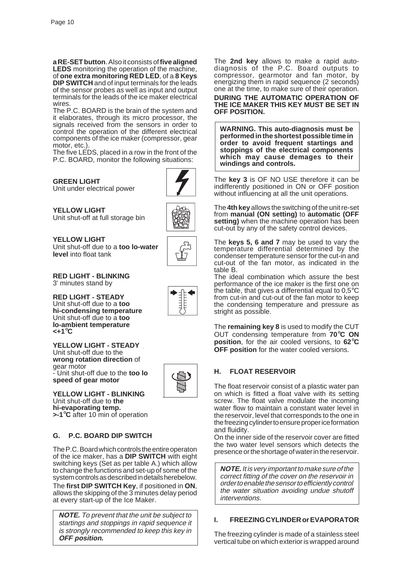**a RE-SET button**. Also it consists of **five aligned LEDS** monitoring the operation of the machine, of **one extra monitoring RED LED**, of a **8 Keys DIP SWITCH** and of input terminals for the leads of the sensor probes as well as input and output terminals for the leads of the ice maker electrical wires.

The P.C. BOARD is the brain of the system and it elaborates, through its micro processor, the signals received from the sensors in order to control the operation of the different electrical components of the ice maker (compressor, gear motor, etc.).

The five LEDS, placed in a row in the front of the P.C. BOARD, monitor the following situations:

**GREEN LIGHT** Unit under electrical power

**YELLOW LIGHT** Unit shut-off at full storage bin



**YELLOW LIGHT** Unit shut-off due to a **too lo-water level** into float tank



**RED LIGHT - BLINKING** 3' minutes stand by

**RED LIGHT - STEADY** Unit shut-off due to a **too hi-condensing temperature** Unit shut-off due to a **too lo-ambient temperature <+1**°**C**

**YELLOW LIGHT - STEADY** Unit shut-off due to the **wrong rotation direction** of gear motor - Unit shut-off due to the **too lo speed of gear motor**



**YELLOW LIGHT - BLINKING** Unit shut-off due to **the hi-evaporating temp. >-1**°**C** after 10 min of operation

## **G. P.C. BOARD DIP SWITCH**

The P.C. Board which controls the entire operaton of the ice maker, has a **DIP SWITCH** with eight switching keys (Set as per table A.) which allow to change the functions and set-up of some of the system controls as described in details herebelow.

The **first DIP SWITCH Key**, if positioned in **ON**, allows the skipping of the 3 minutes delay period at every start-up of the Ice Maker.

**NOTE.** To prevent that the unit be subject to startings and stoppings in rapid sequence it is strongly recommended to keep this key in **OFF position.**

The **2nd key** allows to make a rapid autodiagnosis of the P.C. Board outputs to compressor, gearmotor and fan motor, by energizing them in rapid sequence (2 seconds) one at the time, to make sure of their operation. **DURING THE AUTOMATIC OPERATION OF THE ICE MAKER THIS KEY MUST BE SET IN OFF POSITION.**

**WARNING. This auto-diagnosis must be performed in the shortest possible time in order to avoid frequent startings and stoppings of the electrical components which may cause demages to their windings and controls.**

The **key 3** is OF NO USE therefore it can be indifferently positioned in ON or OFF position without influencing at all the unit operations.

The **4th key** allows the switching of the unit re-set from **manual (ON setting)** to **automatic (OFF setting)** when the machine operation has been cut-out by any of the safety control devices.

The **keys 5, 6 and 7** may be used to vary the temperature differential determined by the condenser temperature sensor for the cut-in and cut-out of the fan motor, as indicated in the table B.

The ideal combination which assure the best performance of the ice maker is the first one on the table, that gives a differential equal to  $0.5^{\circ}$ C from cut-in and cut-out of the fan motor to keep the condensing temperature and pressure as stright as possible.

The **remaining key 8** is used to modify the CUT OUT condensing temperature from **70**°**C ON position**, for the air cooled versions, to **62**°**C OFF position** for the water cooled versions.

## **H. FLOAT RESERVOIR**

The float reservoir consist of a plastic water pan on which is fitted a float valve with its setting screw. The float valve modulate the incoming water flow to maintain a constant water level in the reservoir, level that corresponds to the one in the freezing cylinder to ensure proper ice formation and fluidity.

On the inner side of the reservoir cover are fitted the two water level sensors which detects the presence or the shortage of water in the reservoir.

**NOTE.** It is very important to make sure of the correct fitting of the cover on the reservoir in order to enable the sensor to efficiently control the water situation avoiding undue shutoff interventions.

## **I. FREEZING CYLINDER or EVAPORATOR**

The freezing cylinder is made of a stainless steel vertical tube on which exterior is wrapped around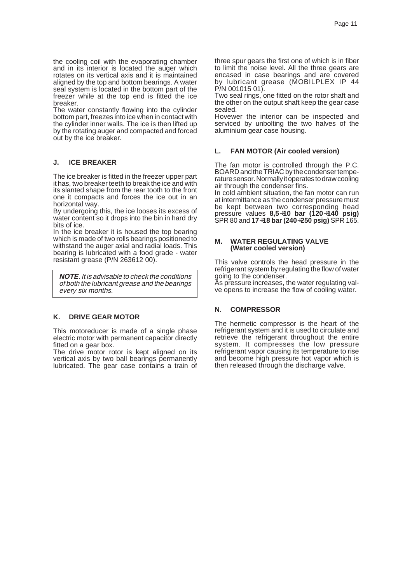the cooling coil with the evaporating chamber and in its interior is located the auger which rotates on its vertical axis and it is maintained aligned by the top and bottom bearings. A water seal system is located in the bottom part of the freezer while at the top end is fitted the ice breaker.

The water constantly flowing into the cylinder bottom part, freezes into ice when in contact with the cylinder inner walls. The ice is then lifted up by the rotating auger and compacted and forced out by the ice breaker.

#### **J. ICE BREAKER**

The ice breaker is fitted in the freezer upper part it has, two breaker teeth to break the ice and with its slanted shape from the rear tooth to the front one it compacts and forces the ice out in an horizontal way.

By undergoing this, the ice looses its excess of water content so it drops into the bin in hard dry bits of ice.

In the ice breaker it is housed the top bearing which is made of two rolls bearings positioned to withstand the auger axial and radial loads. This bearing is lubricated with a food grade - water resistant grease (P/N 263612 00).

**NOTE**. It is advisable to check the conditions of both the lubricant grease and the bearings every six months.

#### **K. DRIVE GEAR MOTOR**

This motoreducer is made of a single phase electric motor with permanent capacitor directly fitted on a gear box.

The drive motor rotor is kept aligned on its vertical axis by two ball bearings permanently lubricated. The gear case contains a train of

three spur gears the first one of which is in fiber to limit the noise level. All the three gears are encased in case bearings and are covered by lubricant grease (MOBILPLEX IP 44 P/N 001015 01).

Two seal rings, one fitted on the rotor shaft and the other on the output shaft keep the gear case sealed.

Hovewer the interior can be inspected and serviced by unbolting the two halves of the aluminium gear case housing.

#### **L. FAN MOTOR (Air cooled version)**

The fan motor is controlled through the P.C. BOARD and the TRIAC by the condenser temperature sensor. Normally it operates to draw cooling air through the condenser fins.

In cold ambient situation, the fan motor can run at intermittance as the condenser pressure must be kept between two corresponding head pressure values **8,5**÷**10 bar (120**÷**140 psig)** SPR 80 and **17**÷**18 bar (240**÷**250 psig)** SPR 165.

#### **M. WATER REGULATING VALVE (Water cooled version)**

This valve controls the head pressure in the refrigerant system by regulating the flow of water going to the condenser.

As pressure increases, the water regulating valve opens to increase the flow of cooling water.

#### **N. COMPRESSOR**

The hermetic compressor is the heart of the refrigerant system and it is used to circulate and retrieve the refrigerant throughout the entire system. It compresses the low pressure refrigerant vapor causing its temperature to rise and become high pressure hot vapor which is then released through the discharge valve.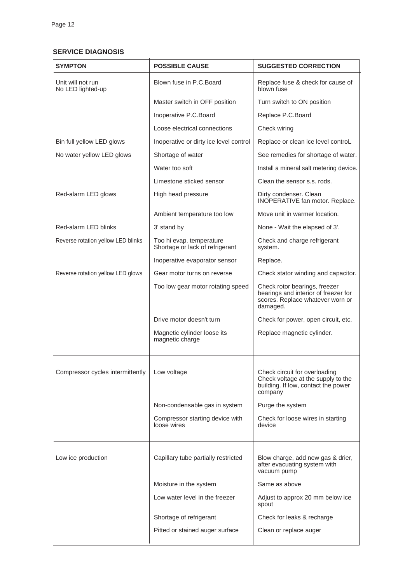#### **SERVICE DIAGNOSIS**

| <b>SYMPTON</b>                         | <b>POSSIBLE CAUSE</b>                                       | <b>SUGGESTED CORRECTION</b>                                                                                           |
|----------------------------------------|-------------------------------------------------------------|-----------------------------------------------------------------------------------------------------------------------|
| Unit will not run<br>No LED lighted-up | Blown fuse in P.C. Board                                    | Replace fuse & check for cause of<br>blown fuse                                                                       |
|                                        | Master switch in OFF position                               | Turn switch to ON position                                                                                            |
|                                        | Inoperative P.C.Board                                       | Replace P.C.Board                                                                                                     |
|                                        | Loose electrical connections                                | Check wiring                                                                                                          |
| Bin full yellow LED glows              | Inoperative or dirty ice level control                      | Replace or clean ice level controL                                                                                    |
| No water yellow LED glows              | Shortage of water                                           | See remedies for shortage of water.                                                                                   |
|                                        | Water too soft                                              | Install a mineral salt metering device.                                                                               |
|                                        | Limestone sticked sensor                                    | Clean the sensor s.s. rods.                                                                                           |
| Red-alarm LED glows                    | High head pressure                                          | Dirty condenser. Clean<br>INOPERATIVE fan motor. Replace.                                                             |
|                                        | Ambient temperature too low                                 | Move unit in warmer location.                                                                                         |
| Red-alarm LED blinks                   | 3' stand by                                                 | None - Wait the elapsed of 3'.                                                                                        |
| Reverse rotation yellow LED blinks     | Too hi evap. temperature<br>Shortage or lack of refrigerant | Check and charge refrigerant<br>system.                                                                               |
|                                        | Inoperative evaporator sensor                               | Replace.                                                                                                              |
| Reverse rotation yellow LED glows      | Gear motor turns on reverse                                 | Check stator winding and capacitor.                                                                                   |
|                                        | Too low gear motor rotating speed                           | Check rotor bearings, freezer<br>bearings and interior of freezer for<br>scores. Replace whatever worn or<br>damaged. |
|                                        | Drive motor doesn't turn                                    | Check for power, open circuit, etc.                                                                                   |
|                                        | Magnetic cylinder loose its<br>magnetic charge              | Replace magnetic cylinder.                                                                                            |
| Compressor cycles intermittently       | Low voltage                                                 | Check circuit for overloading<br>Check voltage at the supply to the<br>building. If low, contact the power<br>company |
|                                        | Non-condensable gas in system                               | Purge the system                                                                                                      |
|                                        | Compressor starting device with<br>loose wires              | Check for loose wires in starting<br>device                                                                           |
| Low ice production                     | Capillary tube partially restricted                         | Blow charge, add new gas & drier,<br>after evacuating system with<br>vacuum pump                                      |
|                                        | Moisture in the system                                      | Same as above                                                                                                         |
|                                        | Low water level in the freezer                              | Adjust to approx 20 mm below ice<br>spout                                                                             |
|                                        | Shortage of refrigerant                                     | Check for leaks & recharge                                                                                            |
|                                        | Pitted or stained auger surface                             | Clean or replace auger                                                                                                |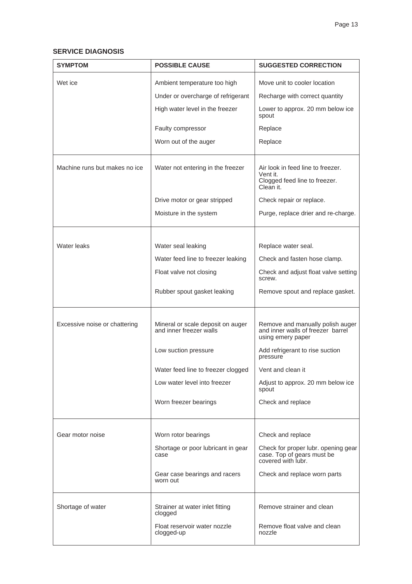## **SERVICE DIAGNOSIS**

| <b>SYMPTOM</b>                | <b>POSSIBLE CAUSE</b>                                                                                          | <b>SUGGESTED CORRECTION</b>                                                                                                                  |
|-------------------------------|----------------------------------------------------------------------------------------------------------------|----------------------------------------------------------------------------------------------------------------------------------------------|
| Wet ice                       | Ambient temperature too high                                                                                   | Move unit to cooler location                                                                                                                 |
|                               | Under or overcharge of refrigerant                                                                             | Recharge with correct quantity                                                                                                               |
|                               | High water level in the freezer                                                                                | Lower to approx. 20 mm below ice<br>spout                                                                                                    |
|                               | Faulty compressor                                                                                              | Replace                                                                                                                                      |
|                               | Worn out of the auger                                                                                          | Replace                                                                                                                                      |
| Machine runs but makes no ice | Water not entering in the freezer                                                                              | Air look in feed line to freezer.<br>Vent it.<br>Clogged feed line to freezer.<br>Clean it.                                                  |
|                               | Drive motor or gear stripped                                                                                   | Check repair or replace.                                                                                                                     |
|                               | Moisture in the system                                                                                         | Purge, replace drier and re-charge.                                                                                                          |
|                               |                                                                                                                |                                                                                                                                              |
| Water leaks                   | Water seal leaking                                                                                             | Replace water seal.                                                                                                                          |
|                               | Water feed line to freezer leaking                                                                             | Check and fasten hose clamp.                                                                                                                 |
|                               | Float valve not closing                                                                                        | Check and adjust float valve setting<br>screw.                                                                                               |
|                               | Rubber spout gasket leaking                                                                                    | Remove spout and replace gasket.                                                                                                             |
| Excessive noise or chattering | Mineral or scale deposit on auger<br>and inner freezer walls                                                   | Remove and manually polish auger<br>and inner walls of freezer barrel<br>using emery paper                                                   |
|                               | Low suction pressure                                                                                           | Add refrigerant to rise suction<br>pressure                                                                                                  |
|                               | Water feed line to freezer clogged                                                                             | Vent and clean it                                                                                                                            |
|                               | Low water level into freezer                                                                                   | Adjust to approx. 20 mm below ice<br>spout                                                                                                   |
|                               | Worn freezer bearings                                                                                          | Check and replace                                                                                                                            |
| Gear motor noise              | Worn rotor bearings<br>Shortage or poor lubricant in gear<br>case<br>Gear case bearings and racers<br>worn out | Check and replace<br>Check for proper lubr. opening gear<br>case. Top of gears must be<br>covered with lubr.<br>Check and replace worn parts |
| Shortage of water             | Strainer at water inlet fitting<br>clogged<br>Float reservoir water nozzle<br>clogged-up                       | Remove strainer and clean<br>Remove float valve and clean<br>nozzle                                                                          |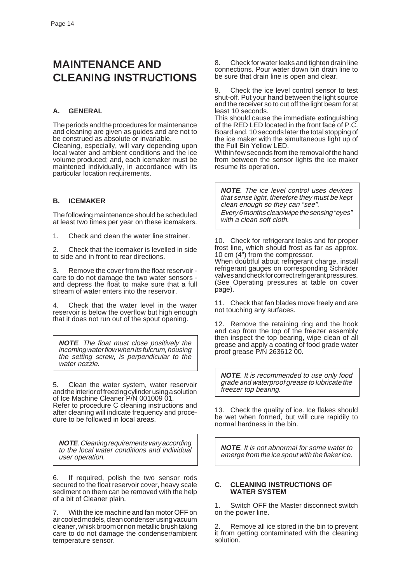# **MAINTENANCE AND CLEANING INSTRUCTIONS**

#### **A. GENERAL**

The periods and the procedures for maintenance and cleaning are given as guides and are not to be construed as absolute or invariable.

Cleaning, especially, will vary depending upon local water and ambient conditions and the ice volume produced; and, each icemaker must be maintened individually, in accordance with its particular location requirements.

#### **B. ICEMAKER**

The following maintenance should be scheduled at least two times per year on these icemakers.

1. Check and clean the water line strainer.

2. Check that the icemaker is levelled in side to side and in front to rear directions.

3. Remove the cover from the float reservoir care to do not damage the two water sensors and depress the float to make sure that a full stream of water enters into the reservoir.

4. Check that the water level in the water reservoir is below the overflow but high enough that it does not run out of the spout opening.

**NOTE**. The float must close positively the incoming water flow when its fulcrum, housing the setting screw, is perpendicular to the water nozzle.

5. Clean the water system, water reservoir and the interior of freezing cylinder using a solution of Ice Machine Cleaner P/N 001009 01. Refer to procedure C cleaning instructions and after cleaning will indicate frequency and procedure to be followed in local areas.

**NOTE**. Cleaning requirements vary according to the local water conditions and individual user operation.

If required, polish the two sensor rods secured to the float reservoir cover, heavy scale sediment on them can be removed with the help of a bit of Cleaner plain.

7. With the ice machine and fan motor OFF on air cooled models, clean condenser using vacuum cleaner, whisk broom or non metallic brush taking care to do not damage the condenser/ambient temperature sensor.

8. Check for water leaks and tighten drain line connections. Pour water down bin drain line to be sure that drain line is open and clear.

9. Check the ice level control sensor to test shut-off. Put your hand between the light source and the receiver so to cut off the light beam for at least 10 seconds.

This should cause the immediate extinguishing of the RED LED located in the front face of P.C. Board and, 10 seconds later the total stopping of the ice maker with the simultaneous light up of the Full Bin Yellow LED.

Within few seconds from the removal of the hand from between the sensor lights the ice maker resume its operation.

**NOTE**. The ice level control uses devices that sense light, therefore they must be kept clean enough so they can "see". Every 6 months clean/wipe the sensing "eyes" with a clean soft cloth.

10. Check for refrigerant leaks and for proper frost line, which should frost as far as approx. 10 cm (4") from the compressor.

When doubtful about refrigerant charge, install refrigerant gauges on corresponding Schräder valves and check for correct refrigerant pressures. (See Operating pressures at table on cover page).

11. Check that fan blades move freely and are not touching any surfaces.

12. Remove the retaining ring and the hook and cap from the top of the freezer assembly then inspect the top bearing, wipe clean of all grease and apply a coating of food grade water proof grease P/N 263612 00.

**NOTE**. It is recommended to use only food grade and waterproof grease to lubricate the freezer top bearing.

13. Check the quality of ice. Ice flakes should be wet when formed, but will cure rapidily to normal hardness in the bin.

**NOTE**. It is not abnormal for some water to emerge from the ice spout with the flaker ice.

#### **C. CLEANING INSTRUCTIONS OF WATER SYSTEM**

1. Switch OFF the Master disconnect switch on the power line.

2. Remove all ice stored in the bin to prevent it from getting contaminated with the cleaning solution.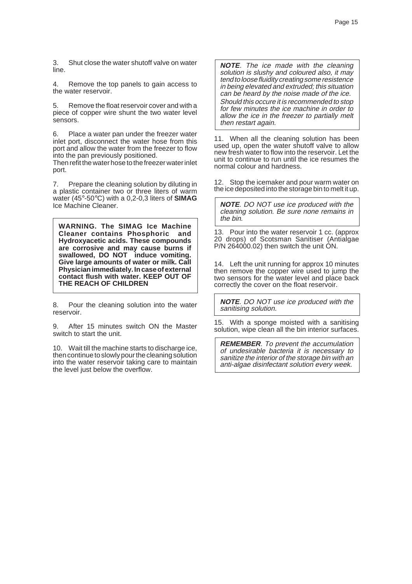3. Shut close the water shutoff valve on water line.

4. Remove the top panels to gain access to the water reservoir.

5. Remove the float reservoir cover and with a piece of copper wire shunt the two water level sensors.

6. Place a water pan under the freezer water inlet port, disconnect the water hose from this port and allow the water from the freezer to flow into the pan previously positioned.

Then refit the water hose to the freezer water inlet port.

7. Prepare the cleaning solution by diluting in a plastic container two or three liters of warm water (45°-50°C) with a 0,2-0,3 liters of **SIMAG** Ice Machine Cleaner.

**WARNING. The SIMAG Ice Machine Cleaner contains Phosphoric and Hydroxyacetic acids. These compounds are corrosive and may cause burns if swallowed, DO NOT induce vomiting. Give large amounts of water or milk. Call Physician immediately. In case of external contact flush with water. KEEP OUT OF THE REACH OF CHILDREN**

8. Pour the cleaning solution into the water reservoir.

9. After 15 minutes switch ON the Master switch to start the unit.

10. Wait till the machine starts to discharge ice, then continue to slowly pour the cleaning solution into the water reservoir taking care to maintain the level just below the overflow.

**NOTE**. The ice made with the cleaning solution is slushy and coloured also, it may tend to loose fluidity creating some resistence in being elevated and extruded; this situation can be heard by the noise made of the ice.

Should this occure it is recommended to stop for few minutes the ice machine in order to allow the ice in the freezer to partially melt then restart again.

11. When all the cleaning solution has been used up, open the water shutoff valve to allow new fresh water to flow into the reservoir. Let the unit to continue to run until the ice resumes the normal colour and hardness.

12. Stop the icemaker and pour warm water on the ice deposited into the storage bin to melt it up.

**NOTE**. DO NOT use ice produced with the cleaning solution. Be sure none remains in the bin.

13. Pour into the water reservoir 1 cc. (approx 20 drops) of Scotsman Sanitiser (Antialgae P/N 264000.02) then switch the unit ON.

14. Left the unit running for approx 10 minutes then remove the copper wire used to jump the two sensors for the water level and place back correctly the cover on the float reservoir.

**NOTE**. DO NOT use ice produced with the sanitising solution.

15. With a sponge moisted with a sanitising solution, wipe clean all the bin interior surfaces.

**REMEMBER**. To prevent the accumulation of undesirable bacteria it is necessary to sanitize the interior of the storage bin with an anti-algae disinfectant solution every week.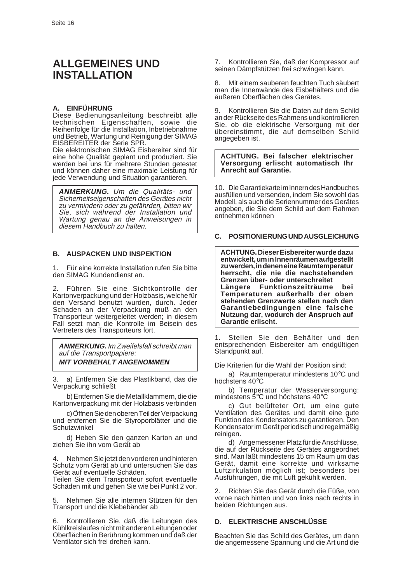# **ALLGEMEINES UND INSTALLATION**

#### **A. EINFÜHRUNG**

Diese Bedienungsanleitung beschreibt alle technischen Eigenschaften, sowie die Reihenfolge für die Installation, Inbetriebnahme und Betrieb, Wartung und Reinigung der SIMAG EISBEREITER der Serie SPR.

Die elektronischen SIMAG Eisbereiter sind für eine hohe Qualität geplant und produziert. Sie werden bei uns für mehrere Stunden getestet und können daher eine maximale Leistung für jede Verwendung und Situation garantieren.

**ANMERKUNG.** Um die Qualitäts- und Sicherheitseigenschaften des Gerätes nicht zu vermindern oder zu gefährden, bitten wir Sie, sich während der Installation und Wartung genau an die Anweisungen in diesem Handbuch zu halten.

#### **B. AUSPACKEN UND INSPEKTION**

1. Für eine korrekte Installation rufen Sie bitte den SIMAG Kundendienst an.

2. Führen Sie eine Sichtkontrolle der Kartonverpackung und der Holzbasis, welche für den Versand benutzt wurden, durch. Jeder Schaden an der Verpackung muß an den Transporteur weitergeleitet werden; in diesem Fall setzt man die Kontrolle im Beisein des Vertreters des Transporteurs fort.

**ANMERKUNG.** Im Zweifelsfall schreibt man auf die Transportpapiere: **MIT VORBEHALT ANGENOMMEN**

3. a) Entfernen Sie das Plastikband, das die Verpackung schließt

b) Entfernen Sie die Metallklammern, die die Kartonverpackung mit der Holzbasis verbinden

c) Öffnen Sie den oberen Teil der Verpackung und entfernen Sie die Styroporblätter und die **Schutzwinkel** 

d) Heben Sie den ganzen Karton an und ziehen Sie ihn vom Gerät ab

4. Nehmen Sie jetzt den vorderen und hinteren Schutz vom Gerät ab und untersuchen Sie das Gerät auf eventuelle Schäden.

Teilen Sie dem Transporteur sofort eventuelle Schäden mit und gehen Sie wie bei Punkt 2 vor.

5. Nehmen Sie alle internen Stützen für den Transport und die Klebebänder ab

6. Kontrollieren Sie, daß die Leitungen des Kühlkreislaufes nicht mit anderen Leitungen oder Oberflächen in Berührung kommen und daß der Ventilator sich frei drehen kann.

7. Kontrollieren Sie, daß der Kompressor auf seinen Dämpfstützen frei schwingen kann.

8. Mit einem sauberen feuchten Tuch säubert man die Innenwände des Eisbehälters und die äußeren Oberflächen des Gerätes.

9. Kontrollieren Sie die Daten auf dem Schild an der Rückseite des Rahmens und kontrollieren Sie, ob die elektrische Versorgung mit der übereinstimmt, die auf demselben Schild angegeben ist.

**ACHTUNG. Bei falscher elektrischer Versorgung erlischt automatisch Ihr Anrecht auf Garantie.**

10. Die Garantiekarte im Innern des Handbuches ausfüllen und versenden, indem Sie sowohl das Modell, als auch die Seriennummer des Gerätes angeben, die Sie dem Schild auf dem Rahmen entnehmen können

#### **C. POSITIONIERUNG UND AUSGLEICHUNG**

**ACHTUNG. Dieser Eisbereiter wurde dazu entwickelt, um in Innenräumen aufgestellt zu werden, in denen eine Raumtemperatur herrscht, die nie die nachstehenden Grenzen über- oder unterschreitet Längere Funktionszeiträume bei Temperaturen außerhalb der oben stehenden Grenzwerte stellen nach den Garantiebedingungen eine falsche Nutzung dar, wodurch der Anspruch auf Garantie erlischt.**

1. Stellen Sie den Behälter und den entsprechenden Eisbereiter am endgültigen Standpunkt auf.

Die Kriterien für die Wahl der Position sind:

a) Raumtemperatur mindestens 10°C und höchstens 40°C

b) Temperatur der Wasserversorgung: mindestens 5°C und höchstens 40°C

c) Gut belüfteter Ort, um eine gute Ventilation des Gerätes und damit eine gute Funktion des Kondensators zu garantieren. Den Kondensator im Gerät periodisch und regelmäßig reinigen.

d) Angemessener Platz für die Anschlüsse, die auf der Rückseite des Gerätes angeordnet sind. Man läßt mindestens 15 cm Raum um das Gerät, damit eine korrekte und wirksame Luftzirkulation möglich ist; besonders bei Ausführungen, die mit Luft gekühlt werden.

2. Richten Sie das Gerät durch die Füße, von vorne nach hinten und von links nach rechts in beiden Richtungen aus.

#### **D. ELEKTRISCHE ANSCHLÜSSE**

Beachten Sie das Schild des Gerätes, um dann die angemessene Spannung und die Art und die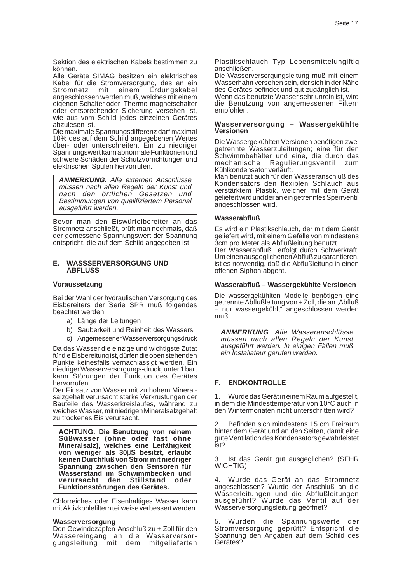Sektion des elektrischen Kabels bestimmen zu können.

Alle Geräte SIMAG besitzen ein elektrisches Kabel für die Stromversorgung, das an ein<br>Stromnetz mit einem Erdungskabel Stromnetz mit einem Erdungskabel angeschlossen werden muß, welches mit einem eigenen Schalter oder Thermo-magnetschalter oder entsprechender Sicherung versehen ist, wie aus vom Schild jedes einzelnen Gerätes abzulesen ist.

Die maximale Spannungsdifferenz darf maximal 10% des auf dem Schild angegebenen Wertes über- oder unterschreiten. Ein zu niedriger Spannungswert kann abnormale Funktionen und schwere Schäden der Schutzvorrichtungen und elektrischen Spulen hervorrufen.

**ANMERKUNG.** Alle externen Anschlüsse müssen nach allen Regeln der Kunst und nach den örtlichen Gesetzen und Bestimmungen von qualifiziertem Personal ausgeführt werden.

Bevor man den Eiswürfelbereiter an das Stromnetz anschließt, prüft man nochmals, daß der gemessene Spannungswert der Spannung entspricht, die auf dem Schild angegeben ist.

#### **E. WASSSERVERSORGUNG UND ABFLUSS**

#### **Voraussetzung**

Bei der Wahl der hydraulischen Versorgung des Eisbereiters der Serie SPR muß folgendes beachtet werden:

- a) Länge der Leitungen
- b) Sauberkeit und Reinheit des Wassers
- c) Angemessener Wasserversorgungsdruck

Da das Wasser die einzige und wichtigste Zutat für die Eisbereitung ist, dürfen die oben stehenden Punkte keinesfalls vernachlässigt werden. Ein niedriger Wasserversorgungs-druck, unter 1 bar, kann Störungen der Funktion des Gerätes hervorrufen.

Der Einsatz von Wasser mit zu hohem Mineralsalzgehalt verursacht starke Verkrustungen der Bauteile des Wasserkreislaufes, während zu weiches Wasser, mit niedrigen Mineralsalzgehalt zu trockenes Eis verursacht.

**ACHTUNG. Die Benutzung von reinem Süßwasser (ohne oder fast ohne Mineralsalz), welches eine Leifähigkeit von weniger als 30**µ**S besitzt, erlaubt keinen Durchfluß von Strom mit niedriger Spannung zwischen den Sensoren für Wasserstand im Schwimmbecken und verursacht Funktionsstörungen des Gerätes.**

Chlorreiches oder Eisenhaltiges Wasser kann mit Aktivkohlefiltern teilweise verbessert werden.

#### **Wasserversorgung**

Den Gewindezapfen-Anschluß zu + Zoll für den Wassereingang an die Wasserversorgungsleitung mit dem mitgelieferten

Plastikschlauch Typ Lebensmittelungiftig anschließen.

Die Wasserversorgungsleitung muß mit einem Wasserhahn versehen sein, der sich in der Nähe des Gerätes befindet und gut zugänglich ist.

Wenn das benutzte Wasser sehr unrein ist, wird die Benutzung von angemessenen Filtern empfohlen.

#### **Wasserversorgung – Wassergekühlte Versionen**

Die Wassergekühlten Versionen benötigen zwei getrennte Wasserzuleitungen; eine für den Schwimmbehälter und eine, die durch das mechanische Regulierungsventil zum Kühlkondensator verläuft.

Man benutzt auch für den Wasseranschluß des Kondensators den flexiblen Schlauch aus verstärktem Plastik, welcher mit dem Gerät geliefert wird und der an ein getrenntes Sperrventil angeschlossen wird.

#### **Wasserabfluß**

Es wird ein Plastikschlauch, der mit dem Gerät geliefert wird, mit einem Gefälle von mindestens 3cm pro Meter als Abflußleitung benutzt. Der Wasserabfluß erfolgt durch Schwerkraft. Um einen ausgeglichenen Abfluß zu garantieren, ist es notwendig, daß die Abflußleitung in einen offenen Siphon abgeht.

#### **Wasserabfluß – Wassergekühlte Versionen**

Die wassergekühlten Modelle benötigen eine getrennte Abflußleitung von + Zoll, die an "Abfluß – nur wassergekühlt" angeschlossen werden muß.

**ANMERKUNG**. Alle Wasseranschlüsse müssen nach allen Regeln der Kunst ausgeführt werden. In einigen Fällen muß ein Installateur gerufen werden.

#### **F. ENDKONTROLLE**

1. Wurde das Gerät in einem Raum aufgestellt, in dem die Mindesttemperatur von 10°C auch in den Wintermonaten nicht unterschritten wird?

2. Befinden sich mindestens 15 cm Freiraum hinter dem Gerät und an den Seiten, damit eine gute Ventilation des Kondensators gewährleistet ist?

3. Ist das Gerät gut ausgeglichen? (SEHR WICHTIG)

4. Wurde das Gerät an das Stromnetz angeschlossen? Wurde der Anschluß an die Wasserleitungen und die Abflußleitungen ausgeführt? Wurde das Ventil auf der Wasserversorgungsleitung geöffnet?

5. Wurden die Spannungswerte der Stromversorgung geprüft? Entspricht die Spannung den Angaben auf dem Schild des Gerätes?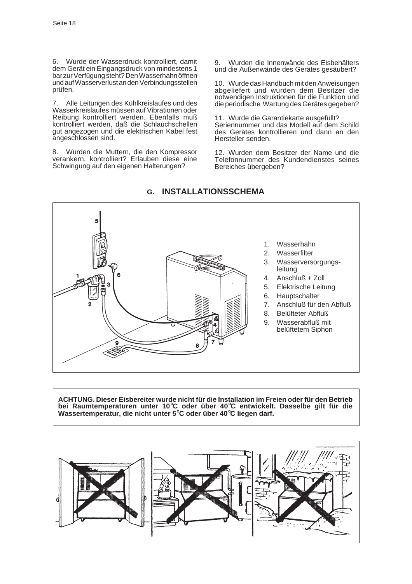6. Wurde der Wasserdruck kontrolliert, damit dem Gerät ein Eingangsdruck von mindestens 1 bar zur Verfügung steht? Den Wasserhahn öffnen und auf Wasserverlust an den Verbindungsstellen prüfen.

7. Alle Leitungen des Kühlkreislaufes und des Wasserkreislaufes müssen auf Vibrationen oder Reibung kontrolliert werden. Ebenfalls muß kontrolliert werden, daß die Schlauchschellen gut angezogen und die elektrischen Kabel fest angeschlossen sind.

8. Wurden die Muttern, die den Kompressor verankern, kontrolliert? Erlauben diese eine Schwingung auf den eigenen Halterungen?

9. Wurden die Innenwände des Eisbehälters und die Außenwände des Gerätes gesäubert?

10. Wurde das Handbuch mit den Anweisungen abgeliefert und wurden dem Besitzer die notwendigen Instruktionen für die Funktion und die periodische Wartung des Gerätes gegeben?

11. Wurde die Garantiekarte ausgefüllt? Seriennummer und das Modell auf dem Schild des Gerätes kontrollieren und dann an den Hersteller senden.

12. Wurden dem Besitzer der Name und die Telefonnummer des Kundendienstes seines Bereiches übergeben?



# **G. INSTALLATIONSSCHEMA**

**ACHTUNG. Dieser Eisbereiter wurde nicht für die Installation im Freien oder für den Betrieb bei Raumtemperaturen unter 10**°**C oder über 40**°**C entwickelt. Dasselbe gilt für die Wassertemperatur, die nicht unter 5**°**C oder über 40**°**C liegen darf.**

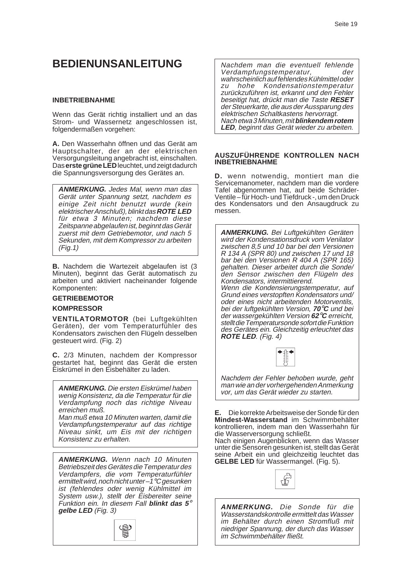# **BEDIENUNSANLEITUNG**

#### **INBETRIEBNAHME**

Wenn das Gerät richtig installiert und an das Strom- und Wassernetz angeschlossen ist, folgendermaßen vorgehen:

**A.** Den Wasserhahn öffnen und das Gerät am Hauptschalter, der an der elektrischen Versorgungsleitung angebracht ist, einschalten. Das **erste grüne LED** leuchtet, und zeigt dadurch die Spannungsversorgung des Gerätes an.

**ANMERKUNG.** Jedes Mal, wenn man das Gerät unter Spannung setzt, nachdem es einige Zeit nicht benutzt wurde (kein elektrischer Anschluß), blinkt das **ROTE LED** für etwa 3 Minuten; nachdem diese Zeitspanne abgelaufen ist, beginnt das Gerät zuerst mit dem Getriebemotor, und nach 5 Sekunden, mit dem Kompressor zu arbeiten (Fig.1)

**B.** Nachdem die Wartezeit abgelaufen ist (3 Minuten), beginnt das Gerät automatisch zu arbeiten und aktiviert nacheinander folgende Komponenten:

#### **GETRIEBEMOTOR**

#### **KOMPRESSOR**

**VENTILATORMOTOR** (bei Luftgekühlten Geräten), der vom Temperaturfühler des Kondensators zwischen den Flügeln desselben gesteuert wird. (Fig. 2)

**C.** 2/3 Minuten, nachdem der Kompressor gestartet hat, beginnt das Gerät die ersten Eiskrümel in den Eisbehälter zu laden.

**ANMERKUNG.** Die ersten Eiskrümel haben wenig Konsistenz, da die Temperatur für die Verdampfung noch das richtige Niveau erreichen muß.

Man muß etwa 10 Minuten warten, damit die Verdampfungstemperatur auf das richtige Niveau sinkt, um Eis mit der richtigen Konsistenz zu erhalten.

**ANMERKUNG.** Wenn nach 10 Minuten Betriebszeit des Gerätes die Temperatur des Verdampfers, die vom Temperaturfühler ermittelt wird, noch nicht unter-1°C gesunken ist (fehlendes oder wenig Kühlmittel im System usw.), stellt der Eisbereiter seine Funktion ein. In diesem Fall **blinkt das 5**° **gelbe LED** (Fig. 3)



Nachdem man die eventuell fehlende Verdampfungstemperatur, der wahrscheinlich auf fehlendes Kühlmittel oder zu hohe Kondensationstemperatur zurückzuführen ist, erkannt und den Fehler beseitigt hat, drückt man die Taste **RESET** der Steuerkarte, die aus der Aussparung des elektrischen Schaltkastens hervorragt. Nach etwa 3 Minuten, mit **blinkendem rotem LED**, beginnt das Gerät wieder zu arbeiten.

#### **AUSZUFÜHRENDE KONTROLLEN NACH INBETRIEBNAHME**

**D.** wenn notwendig, montiert man die Servicemanometer, nachdem man die vordere Tafel abgenommen hat, auf beide Schräder-Ventile – für Hoch- und Tiefdruck -, um den Druck des Kondensators und den Ansaugdruck zu messen.

**ANMERKUNG.** Bei Luftgekühlten Geräten wird der Kondensationsdruck vom Venilator zwischen 8,5 und 10 bar bei den Versionen R 134 A (SPR 80) und zwischen 17 und 18 bar bei den Versionen R 404 A (SPR 165) gehalten. Dieser arbeitet durch die Sonde/ den Sensor zwischen den Flügeln des Kondensators, intermittierend. Wenn die Kondensierungstemperatur, auf Grund eines verstopften Kondensators und/ oder eines nicht arbeitenden Motorventils, bei der luftgekühlten Version, **70**°**C** und bei der wassergekühlten Version **62**°**C** erreicht, stellt die Temperatursonde sofort die Funktion

des Gerätes ein. Gleichzeitig erleuchtet das

**ROTE LED**. (Fig. 4)

Nachdem der Fehler behoben wurde, geht man wie an der vorhergehenden Anmerkung vor, um das Gerät wieder zu starten.

**E.** Die korrekte Arbeitsweise der Sonde für den **Mindest-Wasserstand** im Schwimmbehälter kontrollieren, indem man den Wasserhahn für die Wasserversorgung schließt.

Nach einigen Augenblicken, wenn das Wasser unter die Sensoren gesunken ist, stellt das Gerät seine Arbeit ein und gleichzeitig leuchtet das **GELBE LED** für Wassermangel. (Fig. 5).



**ANMERKUNG.** Die Sonde für die Wasserstandskontrolle ermittelt das Wasser im Behälter durch einen Stromfluß mit niedriger Spannung, der durch das Wasser im Schwimmbehälter fließt.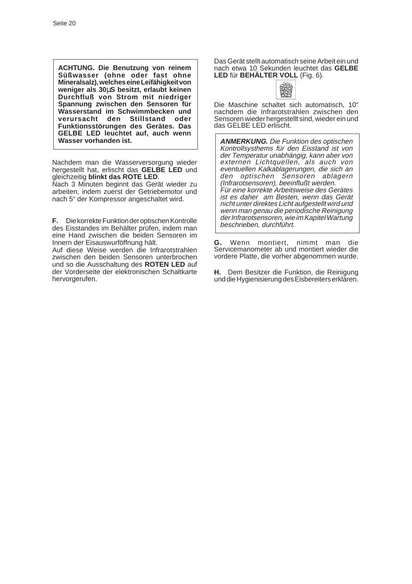**ACHTUNG. Die Benutzung von reinem Süßwasser (ohne oder fast ohne Mineralsalz), welches eine Leifähigkeit von weniger als 30**µ**S besitzt, erlaubt keinen Durchfluß von Strom mit niedriger Spannung zwischen den Sensoren für Wasserstand im Schwimmbecken und verursacht den Stillstand oder Funktionsstörungen des Gerätes. Das GELBE LED leuchtet auf, auch wenn Wasser vorhanden ist.**

Nachdem man die Wasserversorgung wieder hergestellt hat, erlischt das **GELBE LED** und gleichzeitig **blinkt das ROTE LED**.

Nach 3 Minuten beginnt das Gerät wieder zu arbeiten, indem zuerst der Getriebemotor und nach 5" der Kompressor angeschaltet wird.

**F.** Die korrekte Funktion der optischen Kontrolle des Eisstandes im Behälter prüfen, indem man eine Hand zwischen die beiden Sensoren im Innern der Eisauswurföffnung hält.

Auf diese Weise werden die Infrarotstrahlen zwischen den beiden Sensoren unterbrochen und so die Ausschaltung des **ROTEN LED** auf der Vorderseite der elektronischen Schaltkarte hervorgerufen.

Das Gerät stellt automatisch seine Arbeit ein und nach etwa 10 Sekunden leuchtet das **GELBE LED** für **BEHÄLTER VOLL** (Fig. 6).



Die Maschine schaltet sich automatisch, 10" nachdem die Infrarotstrahlen zwischen den Sensoren wieder hergestellt sind, wieder ein und das GELBE LED erlischt.

**ANMERKUNG.** Die Funktion des optischen Kontrollsysthems für den Eisstand ist von der Temperatur unabhängig, kann aber von externen Lichtquellen, als auch von eventuellen Kalkablagerungen, die sich an den optischen Sensoren ablagern (Infrarotsensoren), beeinflußt werden. Für eine korrekte Arbeitsweise des Gerätes ist es daher am Besten, wenn das Gerät nicht unter direktes Licht aufgestellt wird und wenn man genau die periodische Reinigung der Infrarotsensoren, wie im Kapitel Wartung beschrieben, durchführt.

**G.** Wenn montiert, nimmt man die Servicemanometer ab und montiert wieder die vordere Platte, die vorher abgenommen wurde.

**H.** Dem Besitzer die Funktion, die Reinigung und die Hygienisierung des Eisbereiters erklären.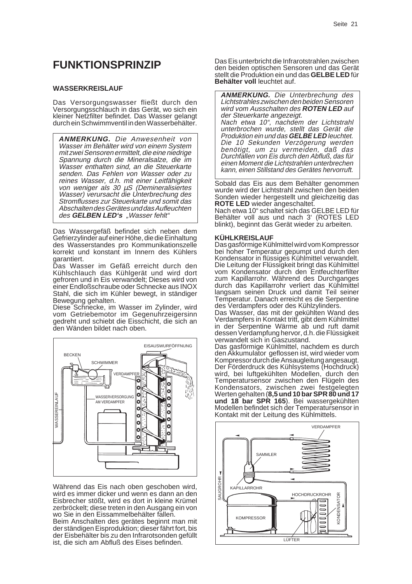# **FUNKTIONSPRINZIP**

#### **WASSERKREISLAUF**

Das Versorgungswasser fließt durch den Versorgungsschlauch in das Gerät, wo sich ein kleiner Netzfilter befindet. Das Wasser gelangt durch ein Schwimmventil in den Wasserbehälter.

**ANMERKUNG.** Die Anwesenheit von Wasser im Behälter wird von einem System mit zwei Sensoren ermittelt, die eine niedrige Spannung durch die Mineralsalze, die im Wasser enthalten sind, an die Steuerkarte senden. Das Fehlen von Wasser oder zu reines Wasser, d.h. mit einer Leitfähigkeit von weniger als  $30 \mu$ S (Demineralisiertes Wasser) verursacht die Unterbrechung des Stromflusses zur Steuerkarte und somit das Abschalten des Gerätes und das Aufleuchten des **GELBEN LED's** "Wasser fehlt"

Das Wassergefäß befindet sich neben dem Gefrierzylinder auf einer Höhe, die die Einhaltung des Wasserstandes pro Kommunikationszelle korrekt und konstant im Innern des Kühlers garantiert.

Das Wasser im Gefäß erreicht durch den Kühlschlauch das Kühlgerät und wird dort gefroren und in Eis verwandelt; Dieses wird von einer Endloßschraube oder Schnecke aus INOX Stahl, die sich im Kühler bewegt, in ständiger Bewegung gehalten.

Diese Schnecke, im Wasser im Zylinder, wird vom Getriebemotor im Gegenuhrzeigersinn gedreht und schiebt die Eisschicht, die sich an den Wänden bildet nach oben.



Während das Eis nach oben geschoben wird, wird es immer dicker und wenn es dann an den Eisbrecher stößt, wird es dort in kleine Krümel zerbröckelt; diese treten in den Ausgang ein von wo Sie in den Eissammelbehälter fallen.

Beim Anschalten des gerätes beginnt man mit der ständigen Eisproduktion; dieser fährt fort, bis der Eisbehälter bis zu den Infrarotsonden gefüllt ist, die sich am Abfluß des Eises befinden.

Das Eis unterbricht die Infrarotstrahlen zwischen den beiden optischen Sensoren und das Gerät stellt die Produktion ein und das **GELBE LED** für **Behälter voll** leuchtet auf.

**ANMERKUNG.** Die Unterbrechung des Lichtstrahles zwischen den beiden Sensoren wird vom Ausschalten des **ROTEN LED** auf der Steuerkarte angezeigt. Nach etwa 10", nachdem der Lichtstrahl unterbrochen wurde, stellt das Gerät die Produktion ein und das **GELBE LED** leuchtet. Die 10 Sekunden Verzögerung werden benötigt, um zu vermeiden, daß das Durchfallen von Eis durch den Abfluß, das für einen Moment die Lichtstrahlen unterbrechen kann, einen Stillstand des Gerätes hervorruft.

Sobald das Eis aus dem Behälter genommen wurde wird der Lichtstrahl zwischen den beiden Sonden wieder hergestellt und gleichzeitig das **ROTE LED** wieder angeschaltet.

Nach etwa 10" schaltet sich das GELBE LED für Behälter voll aus und nach 3' (ROTES LED blinkt), beginnt das Gerät wieder zu arbeiten.

#### **KÜHLKREISLAUF**

Das gasförmige Kühlmittel wird vom Kompressor bei hoher Temperatur gepumpt und durch den Kondensator in flüssiges Kühlmittel verwandelt. Die Leitung der Flüssigkeit bringt das Kühlmittel vom Kondensator durch den Entfeuchterfilter zum Kapillarrohr. Während des Durchganges durch das Kapillarrohr verliert das Kühlmittel langsam seinen Druck und damit Teil seiner Temperatur. Danach erreicht es die Serpentine des Verdampfers oder des Kühlzylinders.

Das Wasser, das mit der gekühlten Wand des Verdampfers in Kontakt tritt, gibt dem Kühlmittel in der Serpentine Wärme ab und ruft damit dessen Verdampfung hervor, d.h. die Flüssigkeit verwandelt sich in Gaszustand.

Das gasförmige Kühlmittel, nachdem es durch den Akkumulator geflossen ist, wird wieder vom Kompressor durch die Ansaugleitung angesaugt. Der Förderdruck des Kühlsystems (Hochdruck) wird, bei luftgekühlten Modellen, durch den Temperatursensor zwischen den Flügeln des Kondensators, zwischen zwei festgelegten Werten gehalten (**8,5 und 10 bar SPR 80 und 17 und 18 bar SPR 165**). Bei wassergekühlten Modellen befindet sich der Temperatursensor in Kontakt mit der Leitung des Kühlmittels.

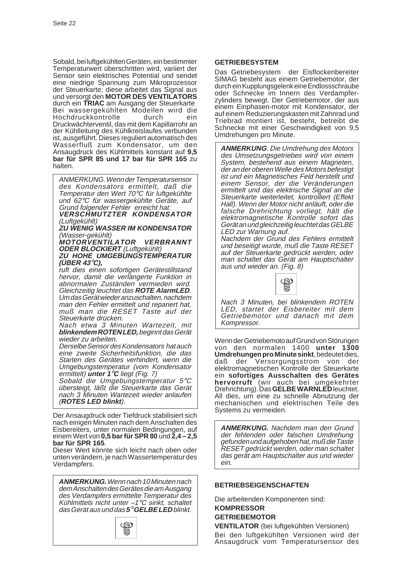Sobald, bei luftgekühlten Geräten, ein bestimmter Temperaturwert überschritten wird, variiert der Sensor sein elektrisches Potential und sendet eine niedrige Spannung zum Mikroprozessor der Steuerkarte; diese arbeitet das Signal aus und versorgt den **MOTOR DES VENTILATORS** durch ein **TRIAC** am Ausgang der Steuerkarte Bei wassergekühlten Modellen wird die Hochdruckkontrolle durch ein Druckwächterventil, das mit dem Kapillarrohr an der Kühlleitung des Kühlkreislaufes verbunden ist, ausgeführt. Dieses reguliert automatisch des Wasserfluß zum Kondensator, um den Ansaugdruck des Kühlmittels konstant auf **9,5 bar für SPR 85 und 17 bar für SPR 165** zu halten.

ANMERKUNG. Wenn der Temperatursensor des Kondensators ermittelt, daß die Temperatur den Wert 70°C für luftgekühlte und 62°C für wassergekühlte Geräte, auf Grund folgender Fehler erreicht hat:

**VERSCHMUTZTER KONDENSATOR** (Luftgekühlt)

**ZU WENIG WASSER IM KONDENSATOR** (Wasser-gekühlt)

**MOTORVENTILATOR VERBRANNT ODER BLOCKIERT** (Luftgekühlt)

**ZU HOHE UMGEBUNGSTEMPERATUR (ÜBER 43**°**C),**

ruft dies einen sofortigen Gerätestillstand hervor, damit die verlängerte Funktion in abnormalen Zuständen vermieden wird. Gleichzeitig leuchtet das **ROTE AlarmLED**. Um das Gerät wieder anzuschalten, nachdem man den Fehler ermittelt und repariert hat, muß man die RESET Taste auf der Steuerkarte drücken.

Nach etwa 3 Minuten Wartezeit, mit **blinkendem ROTEN LED,** beginnt das Gerät wieder zu arbeiten.

Derselbe Sensor des Kondensators hat auch eine zweite Sicherheitsfunktion, die das Starten des Gerätes verhindert, wenn die Umgebungstemperatur (vom Kondensator ermittelt) **unter 1**°**C** liegt (Fig. 7)

Sobald die Umgebungstemperatur 5°C übersteigt, läßt die Steuerkarte das Gerät nach 3 Minuten Wartezeit wieder anlaufen (**ROTES LED blinkt**).

Der Ansaugdruck oder Tiefdruck stabilisiert sich nach einigen Minuten nach dem Anschalten des Eisbereiters, unter normalen Bedingungen, auf einem Wert von **0,5 bar für SPR 80** und **2,4 – 2,5 bar für SPR 165**.

Dieser Wert könnte sich leicht nach oben oder unten verändern, je nach Wassertemperatur des Verdampfers.

**ANMERKUNG.** Wenn nach 10 Minuten nach dem Anschalten des Gerätes die am Ausgang des Verdampfers ermittelte Temperatur des Kühlmittels nicht unter –1°C sinkt, schaltet das Gerät aus und das **5**° **GELBE LED** blinkt.



#### **GETRIEBESYSTEM**

Das Getriebesystem der Eisflockenbereiter SIMAG besteht aus einem Getriebemotor, der durch ein Kupplungsgelenk eine Endlossschraube oder Schnecke im Innern des Verdampferzylinders bewegt. Der Getriebemotor, der aus einem Einphasen-motor mit Kondensator, der auf einem Reduzierungskasten mit Zahnrad und Triebrad montiert ist, besteht, betreibt die Schnecke mit einer Geschwindigkeit von 9,5 Umdrehungen pro Minute.

**ANMERKUNG**. Die Umdrehung des Motors des Umsetzungsgetriebes wird von einem System, bestehend aus einem Magneten, der an der oberen Welle des Motors befestigt ist und ein Magnetisches Feld herstellt und einem Sensor, der die Veränderungen ermittelt und das elektrische Signal an die Steuerkarte weiterleitet, kontrolliert (Effekt Hall). Wenn der Motor nicht anläuft, oder die falsche Drehrichtung vorliegt, hält die elektromagnetische Kontrolle sofort das Gerät an und gleichzeitig leuchtet das GELBE LED zur Warnung auf.

Nachdem der Grund des Fehlers ermittelt und beseitigt wurde, muß die Taste RESET auf der Steuerkarte gedrückt werden, oder man schaltet das Gerät am Hauptschalter aus und wieder an. (Fig. 8)



Nach 3 Minuten, bei blinkendem ROTEN LED, startet der Eisbereiter mit dem Getriebemotor und danach mit dem Kompressor.

Wenn der Getriebemoto auf Grund von Störungen von den normalen 1400 **unter 1300 Umdrehungen pro Minute sinkt**, bedeutet dies,<br>daß der Versorgungsstrom von der der Versorgungsstrom von der elektromagnetischen Kontrolle der Steuerkarte ein **sofortiges Ausschalten des Gerätes hervorruft** (wir auch bei umgekehrter Drehrichtung). Das **GELBE WARNLED** leuchtet. All dies, um eine zu schnelle Abnutzung der mechanischen und elektrischen Teile des Systems zu vermeiden.

**ANMERKUNG.** Nachdem man den Grund der fehlenden oder falschen Umdrehung gefunden und aufgehoben hat, muß die Taste RESET gedrückt werden, oder man schaltet das gerät am Hauptschalter aus und wieder ein.

#### **BETRIEBSEIGENSCHAFTEN**

Die arbeitenden Komponenten sind:

#### **KOMPRESSOR GETRIEBEMOTOR**

**VENTILATOR** (bei luftgekühlten Versionen) Bei den luftgekühlten Versionen wird der Ansaugdruck vom Temperatursensor des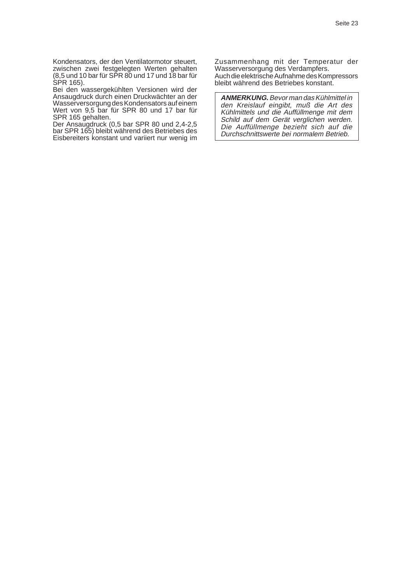Kondensators, der den Ventilatormotor steuert, zwischen zwei festgelegten Werten gehalten (8,5 und 10 bar für SPR 80 und 17 und 18 bar für SPR 165).

Bei den wassergekühlten Versionen wird der Ansaugdruck durch einen Druckwächter an der Wasserversorgung des Kondensators auf einem Wert von 9,5 bar für SPR 80 und 17 bar für SPR 165 gehalten.

Der Ansaugdruck (0,5 bar SPR 80 und 2,4-2,5 bar SPR 165) bleibt während des Betriebes des Eisbereiters konstant und variiert nur wenig im Zusammenhang mit der Temperatur der Wasserversorgung des Verdampfers. Auch die elektrische Aufnahme des Kompressors bleibt während des Betriebes konstant.

**ANMERKUNG.** Bevor man das Kühlmittel in den Kreislauf eingibt, muß die Art des Kühlmittels und die Auffüllmenge mit dem Schild auf dem Gerät verglichen werden. Die Auffüllmenge bezieht sich auf die Durchschnittswerte bei normalem Betrieb.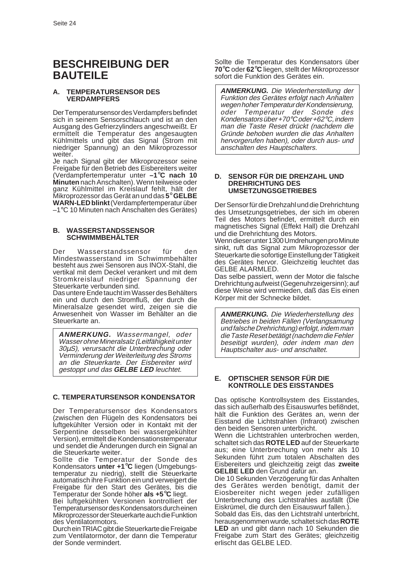# **BESCHREIBUNG DER BAUTEILE**

#### **A. TEMPERATURSENSOR DES VERDAMPFERS**

Der Temperatursensor des Verdampfers befindet sich in seinem Sensorschlauch und ist an den Ausgang des Gefrierzylinders angeschweißt. Er ermittelt die Temperatur des angesaugten Kühlmittels und gibt das Signal (Strom mit niedriger Spannung) an den Mikroprozessor weiter.

Je nach Signal gibt der Mikroprozessor seine Freigabe für den Betrieb des Eisbereiters weiter (Verdampfertemperatur unter **–1**°**C nach 10 Minuten** nach Anschalten). Wenn teilweise oder ganz Kühlmittel im Kreislauf fehlt, hält der Mikroprozessor das Gerät an und das **5**° **GELBE WARN-LED blinkt** (Verdampfertemperatur über –1°C 10 Minuten nach Anschalten des Gerätes)

#### **B. WASSERSTANDSSENSOR SCHWIMMBEHÄLTER**

Der Wasserstandssensor für den Mindestwasserstand im Schwimmbehälter besteht aus zwei Sensoren aus INOX-Stahl, die vertikal mit dem Deckel verankert und mit dem Stromkreislauf niedriger Spannung der Steuerkarte verbunden sind.

Das untere Ende taucht im Wasser des Behälters ein und durch den Stromfluß, der durch die Mineralsalze gesendet wird, zeigen sie die Anwesenheit von Wasser im Behälter an die Steuerkarte an.

**ANMERKUNG.** Wassermangel, oder Wasser ohne Mineralsalz (Leitfähigkeit unter 30µS), verursacht die Unterbrechung oder Verminderung der Weiterleitung des Stroms an die Steuerkarte. Der Eisbereiter wird gestoppt und das **GELBE LED** leuchtet.

#### **C. TEMPERATURSENSOR KONDENSATOR**

Der Temperatursensor des Kondensators (zwischen den Flügeln des Kondensators bei luftgekühlter Version oder in Kontakt mit der Serpentine desselben bei wassergekühlter Version), ermittelt die Kondensationstemperatur und sendet die Änderungen durch ein Signal an die Steuerkarte weiter.

Sollte die Temperatur der Sonde des Kondensators **unter +1**°**C** liegen (Umgebungstemperatur zu niedrig), stellt die Steuerkarte automatisch ihre Funktion ein und verweigert die Freigabe für den Start des Gerätes, bis die Temperatur der Sonde höher **als +5**°**C** liegt.

Bei luftgekühlten Versionen kontrolliert der Temperatursensor des Kondensators durch einen Mikroprozessor der Steuerkarte auch die Funktion des Ventilatormotors.

Durch ein TRIAC gibt die Steuerkarte die Freigabe zum Ventilatormotor, der dann die Temperatur der Sonde vermindert.

Sollte die Temperatur des Kondensators über **70**°**C** oder **62**°**C** liegen, stellt der Mikroprozessor sofort die Funktion des Gerätes ein.

**ANMERKUNG.** Die Wiederherstellung der Funktion des Gerätes erfolgt nach Anhalten wegen hoher Temperatur der Kondensierung,<br>oder Temperatur der Sonde des Temperatur der Sonde des Kondensators über +70°C oder +62°C, indem man die Taste Reset drückt (nachdem die Gründe behoben wurden die das Anhalten hervorgerufen haben), oder durch aus- und anschalten des Hauptschalters.

#### **D. SENSOR FÜR DIE DREHZAHL UND DREHRICHTUNG DES UMSETZUNGSGETRIEBES**

Der Sensor für die Drehzahl und die Drehrichtung des Umsetzungsgetriebes, der sich im oberen Teil des Motors befindet, ermittelt durch ein magnetisches Signal (Effekt Hall) die Drehzahl und die Drehrichtung des Motors.

Wenn dieser unter 1300 Umdrehungen pro Minute sinkt, ruft das Signal zum Mikroprozessor der Steuerkarte die sofortige Einstellung der Tätigkeit des Gerätes hervor. Gleichzeitig leuchtet das GELBE ALARMLED.

Das selbe passiert, wenn der Motor die falsche Drehrichtung aufweist (Gegenuhrzeigersinn); auf diese Weise wird vermieden, daß das Eis einen Körper mit der Schnecke bildet.

**ANMERKUNG.** Die Wiederherstellung des Betriebes in beiden Fällen (Verlangsamung und falsche Drehrichtung) erfolgt, indem man die Taste Reset betätigt (nachdem die Fehler beseitigt wurden), oder indem man den Hauptschalter aus- und anschaltet.

#### **E. OPTISCHER SENSOR FÜR DIE KONTROLLE DES EISSTANDES**

Das optische Kontrollsystem des Eisstandes, das sich außerhalb des Eisauswurfes befi8ndet, hält die Funktion des Gerätes an, wenn der Eisstand die Lichtstrahlen (Infrarot) zwischen den beiden Sensoren unterbricht.

Wenn die Lichtstrahlen unterbrochen werden, schaltet sich das **ROTE LED** auf der Steuerkarte aus; eine Unterbrechung von mehr als 10 Sekunden führt zum totalen Abschalten des Eisbereiters und gleichzeitig zeigt das **zweite GELBE LED** den Grund dafür an.

Die 10 Sekunden Verzögerung für das Anhalten des Gerätes werden benötigt, damit der Eiosbereiter nicht wegen jeder zufälligen Unterbrechung des Lichtstrahles ausfällt (Die Eiskrümel, die durch den Eisauswurf fallen.).

Sobald das Eis, das den Lichtstrahl unterbricht, herausgenommen wurde, schaltet sich das **ROTE LED** an und gibt dann nach 10 Sekunden die Freigabe zum Start des Gerätes; gleichzeitig erlischt das GELBE LED.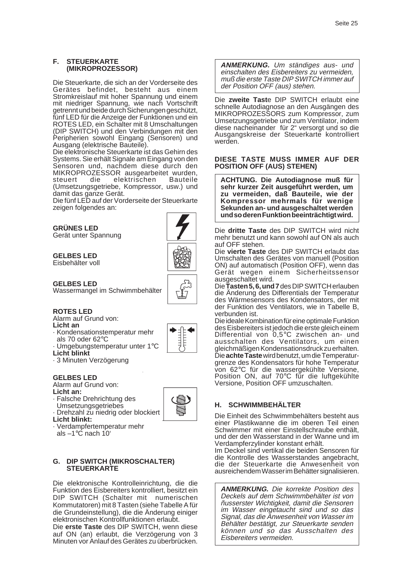#### **F. STEUERKARTE (MIKROPROZESSOR)**

Die Steuerkarte, die sich an der Vorderseite des Gerätes befindet, besteht aus einem Stromkreislauf mit hoher Spannung und einem mit niedriger Spannung, wie nach Vortschrift getrennt und beide durch Sicherungen geschützt, fünf LED für die Anzeige der Funktionen und ein ROTES LED, ein Schalter mit 8 Umschaltungen (DIP SWITCH) und den Verbindungen mit den Peripherien sowohl Eingang (Sensoren) und Ausgang (elektrische Bauteile).

Die elektronische Steuerkarte ist das Gehirn des Systems. Sie erhält Signale am Eingang von den Sensoren und, nachdem diese durch den MIKROPROZESSOR ausgearbeitet wurden, steuert die elektrischen Bauteile (Umsetzungsgetriebe, Kompressor, usw.) und damit das ganze Gerät.

Die fünf LED auf der Vorderseite der Steuerkarte zeigen folgendes an:

**GRÜNES LED** Gerät unter Spannung

**GELBES LED** Eisbehälter voll

**GELBES LED** Wassermangel im Schwimmbehälter



#### **ROTES LED**

Alarm auf Grund von:

- **Licht an**
- · Kondensationstemperatur mehr als 70 oder 62°C
- · Umgebungstemperatur unter 1°C
- **Licht blinkt** · 3 Minuten Verzögerung

## **GELBES LED**

Alarm auf Grund von:

- **Licht an:**
- · Falsche Drehrichtung des
- Umsetzungsgetriebes
- Drehzahl zu niedrig oder blockiert
- **Licht blinkt:**
- · Verdampfertemperatur mehr als  $-1$ °C nach 10'

#### **G. DIP SWITCH (MIKROSCHALTER) STEUERKARTE**

Die elektronische Kontrolleinrichtung, die die Funktion des Eisbereiters kontrolliert, besitzt ein DIP SWITCH (Schalter mit numerischen Kommutatoren) mit 8 Tasten (siehe Tabelle A für die Grundeinstellung), die die Änderung einiger elektronischen Kontrollfunktionen erlaubt.

Die **erste Taste** des DIP SWITCH, wenn diese auf ON (an) erlaubt, die Verzögerung von 3 Minuten vor Anlauf des Gerätes zu überbrücken.

**ANMERKUNG.** Um ständiges aus- und einschalten des Eisbereiters zu vermeiden, muß die erste Taste DIP SWITCH immer auf der Position OFF (aus) stehen.

Die **zweite Tast**e DIP SWITCH erlaubt eine schnelle Autodiagnose an den Ausgängen des MIKROPROZESSORS zum Kompressor, zum Umsetzungsgetriebe und zum Ventilator, indem diese nacheinander für 2" versorgt und so die Ausgangskreise der Steuerkarte kontrolliert werden.

#### **DIESE TASTE MUSS IMMER AUF DER POSITION OFF (AUS) STEHEN)**

**ACHTUNG. Die Autodiagnose muß für sehr kurzer Zeit ausgeführt werden, um zu vermeiden, daß Bauteile, wie der Kompressor mehrmals für wenige Sekunden an- und ausgeschaltet werden und so deren Funktion beeinträchtigt wird.**

Die **dritte Taste** des DIP SWITCH wird nicht mehr benutzt und kann sowohl auf ON als auch auf OFF stehen.

Die **vierte Taste** des DIP SWITCH erlaubt das Umschalten des Gerätes von manuell (Position ON) auf automatisch (Position OFF), wenn das Gerät wegen einem Sicherheitssensor ausgeschaltet wird.

Die **Tasten 5, 6, und 7** des DIP SWITCH erlauben die Änderung des Differentials der Temperatur des Wärmesensors des Kondensators, der mit der Funktion des Ventilators, wie in Tabelle B, verbunden ist.

Die ideale Kombination für eine optimale Funktion des Eisbereiters ist jedoch die erste gleich einem Differential von 0,5°C zwischen an- und ausschalten des Ventilators, um einen gleichmäßigen Kondensationsdruck zu erhalten. Die **achte Taste** wird benutzt, um die Temperaturgrenze des Kondensators für hohe Temperatur von 62°C für die wassergekühlte Versione, Position ON, auf 70°C für die luftgekühlte Versione, Position OFF umzuschalten.

## **H. SCHWIMMBEHÄLTER**

Die Einheit des Schwimmbehälters besteht aus einer Plastikwanne die im oberen Teil einen Schwimmer mit einer Einstellschraube enthält, und der den Wasserstand in der Wanne und im Verdampferzylinder konstant erhält.

Im Deckel sind vertikal die beiden Sensoren für die Kontrolle des Wasserstandes angebracht, die der Steuerkarte die Anwesenheit von ausreichendem Wasser im Behätter signalisieren.

**ANMERKUNG.** Die korrekte Position des Deckels auf dem Schwimmbehälter ist von ñusserster Wichtigkeit, damit die Sensoren im Wasser eingetaucht sind und so das Signal, das die Anwesenheit von Wasser im Behälter bestätigt, zur Steuerkarte senden können und so das Ausschalten des Eisbereiters vermeiden.

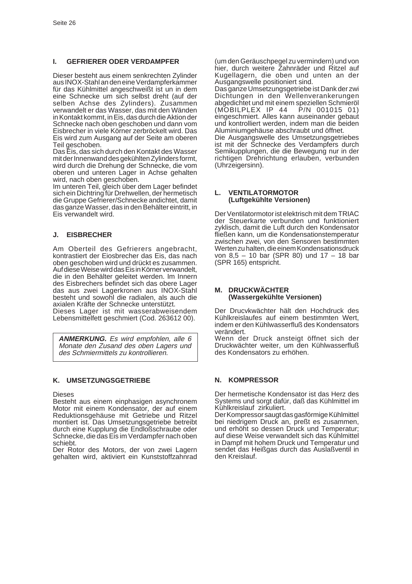#### **I. GEFRIERER ODER VERDAMPFER**

Dieser besteht aus einem senkrechten Zylinder aus INOX-Stahl an den eine Verdampferkammer für das Kühlmittel angeschweißt ist un in dem eine Schnecke um sich selbst dreht (auf der selben Achse des Zylinders). Zusammen verwandelt er das Wasser, das mit den Wänden in Kontakt kommt, in Eis, das durch die Aktion der Schnecke nach oben geschoben und dann vom Eisbrecher in viele Körner zerbröckelt wird. Das Eis wird zum Ausgang auf der Seite am oberen Teil geschoben.

Das Eis, das sich durch den Kontakt des Wasser mit der Innenwand des gekühlten Zylinders formt, wird durch die Drehung der Schnecke, die vom oberen und unteren Lager in Achse gehalten wird, nach oben geschoben.

Im unteren Teil, gleich über dem Lager befindet sich ein Dichtring für Drehwellen, der hermetisch die Gruppe Gefrierer/Schnecke andichtet, damit das ganze Wasser, das in den Behälter eintritt, in Eis verwandelt wird.

#### **J. EISBRECHER**

Am Oberteil des Gefrierers angebracht, kontrastiert der Eiosbrecher das Eis, das nach oben geschoben wird und drückt es zusammen. Auf diese Weise wird das Eis in Körner verwandelt, die in den Behälter geleitet werden. Im Innern des Eisbrechers befindet sich das obere Lager das aus zwei Lagerkronen aus INOX-Stahl besteht und sowohl die radialen, als auch die axialen Kräfte der Schnecke unterstützt.

Dieses Lager ist mit wasserabweisendem Lebensmittelfett geschmiert (Cod. 263612 00).

**ANMERKUNG.** Es wird empfohlen, alle 6 Monate den Zusand des oben Lagers und des Schmiermittels zu kontrollieren.

#### **K. UMSETZUNGSGETRIEBE**

#### Dieses

Besteht aus einem einphasigen asynchronem Motor mit einem Kondensator, der auf einem Reduktionsgehäuse mit Getriebe und Ritzel montiert ist. Das Umsetzungsgetriebe betreibt durch eine Kupplung die Endloßschraube oder Schnecke, die das Eis im Verdampfer nach oben schiebt.

Der Rotor des Motors, der von zwei Lagern gehalten wird, aktiviert ein Kunststoffzahnrad (um den Geräuschpegel zu vermindern) und von hier, durch weitere Zahnräder und Ritzel auf Kugellagern, die oben und unten an der Ausgangswelle positioniert sind.

Das ganze Umsetzungsgetriebe ist Dank der zwi Dichtungen in den Wellenverankerungen abgedichtet und mit einem speziellen Schmieröl (MOBILPLEX IP 44 P/N 001015 01) eingeschmiert. Alles kann auseinander gebaut und kontrolliert werden, indem man die beiden Aluminiumgehäuse abschraubt und öffnet. Die Ausgangswelle des Umsetzungsgetriebes ist mit der Schnecke des Verdampfers durch Semikupplungen, die die Bewegung nur in der richtigen Drehrichtung erlauben, verbunden (Uhrzeigersinn).

#### **L. VENTILATORMOTOR (Luftgekühlte Versionen)**

Der Ventilatormotor ist elektrisch mit dem TRIAC der Steuerkarte verbunden und funktioniert zyklisch, damit die Luft durch den Kondensator fließen kann, um die Kondensationstemperatur zwischen zwei, von den Sensoren bestimmten Werten zu halten, die einem Kondensationsdruck von 8,5 – 10 bar (SPR 80) und 17 – 18 bar (SPR 165) entspricht.

#### **M. DRUCKWÄCHTER (Wassergekühlte Versionen)**

Der Drucvkwächter hält den Hochdruck des Kühlkreislaufes auf einem bestimmten Wert, indem er den Kühlwasserfluß des Kondensators verändert.

Wenn der Druck ansteigt öffnet sich der Druckwächter weiter, um den Kühlwasserfluß des Kondensators zu erhöhen.

#### **N. KOMPRESSOR**

Der hermetische Kondensator ist das Herz des Systems und sorgt dafür, daß das Kühlmittel im Kühlkreislauf zirkuliert.

Der Kompressor saugt das gasförmige Kühlmittel bei niedrigem Druck an, preßt es zusammen, und erhöht so dessen Druck und Temperatur; auf diese Weise verwandelt sich das Kühlmittel in Dampf mit hohem Druck und Temperatur und sendet das Heißgas durch das Auslaßventil in den Kreislauf.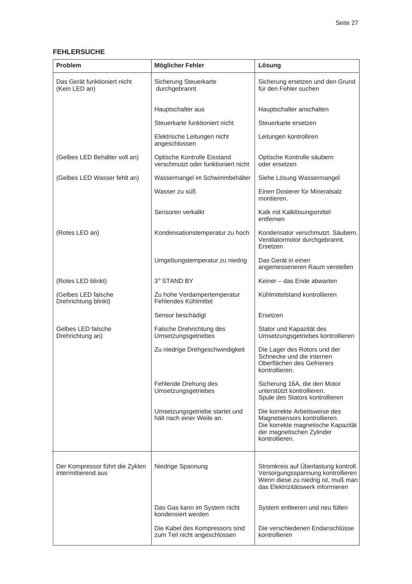## **FEHLERSUCHE**

| <b>Problem</b>                                         | Möglicher Fehler                                                   | Lösung                                                                                                                                               |
|--------------------------------------------------------|--------------------------------------------------------------------|------------------------------------------------------------------------------------------------------------------------------------------------------|
| Das Gerät funktioniert nicht<br>(Kein LED an)          | Sicherung Steuerkarte<br>durchgebrannt                             | Sicherung ersetzen und den Grund<br>für den Fehler suchen                                                                                            |
|                                                        | Hauptschalter aus                                                  | Hauptschalter anschalten                                                                                                                             |
|                                                        | Steuerkarte funktioniert nicht                                     | Steuerkarte ersetzen                                                                                                                                 |
|                                                        | Elektrische Leitungen nicht<br>angeschlossen                       | Leitungen kontrolliren                                                                                                                               |
| (Gelbes LED Behälter voll an)                          | Optische Kontrolle Eisstand<br>verschmutzt oder funktioniert nicht | Optische Kontrolle säubern<br>oder ersetzen                                                                                                          |
| (Gelbes LED Wasser fehlt an)                           | Wassermangel im Schwimmbehälter                                    | Siehe Lösung Wassermangel                                                                                                                            |
|                                                        | Wasser zu süß                                                      | Einen Dosierer für Mineralsalz<br>montieren.                                                                                                         |
|                                                        | Sensoren verkalkt                                                  | Kalk mit Kalklösungsmittel<br>entfernen                                                                                                              |
| (Rotes LED an)                                         | Kondensationstemperatur zu hoch                                    | Kondensator verschmutzt. Säubern.<br>Ventilatormotor durchgebrannt.<br>Ersetzen                                                                      |
|                                                        | Umgebungstemperatur zu niedrig                                     | Das Gerät in einen<br>angemesseneren Raum verstellen                                                                                                 |
| (Rotes LED blinkt)                                     | 3° STAND BY                                                        | Keiner - das Ende abwarten                                                                                                                           |
| (Gelbes LED falsche<br>Drehrichtung blinkt)            | Zu hohe Verdampertemperatur<br>Fehlendes Kühlmittel                | Kühlmittelstand kontrollieren                                                                                                                        |
|                                                        | Sensor beschädigt                                                  | Ersetzen                                                                                                                                             |
| Gelbes LED falsche<br>Drehrichtung an)                 | Falsche Drehrichtung des<br>Umsetzungsgetriebes                    | Stator und Kapazität des<br>Umsetzungsgetriebes kontrollieren                                                                                        |
|                                                        | Zu niedrige Drehgeschwindigkeit                                    | Die Lager des Rotors und der<br>Schnecke und die internen<br>Oberflächen des Gefrierers<br>kontrollieren.                                            |
|                                                        | Fehlende Drehung des<br>Umsetzungsgetriebes                        | Sicherung 16A, die den Motor<br>unterstützt kontrollieren.<br>Spule des Stators kontrollieren                                                        |
|                                                        | Umsetzungsgetriebe startet und<br>hält nach einer Weile an.        | Die korrekte Arbeitsweise des<br>Magnetsensors kontrollieren.<br>Die korrekte magnetische Kapazität<br>der magnetischen Zylinder<br>kontrollieren.   |
| Der Kompressor führt die Zyklen<br>intermittierend aus | Niedrige Spannung                                                  | Stromkreis auf Überlastung kontroll.<br>Versorgungsspannung kontrollieren<br>Wenn diese zu niedrig ist, muß man<br>das Elektrizitätswerk informieren |
|                                                        | Das Gas kann im System nicht<br>kondensiert werden                 | System entleeren und neu füllen                                                                                                                      |
|                                                        | Die Kabel des Kompressors sind<br>zum Teil nicht angeschlossen     | Die verschiedenen Endanschlüsse<br>kontrollieren                                                                                                     |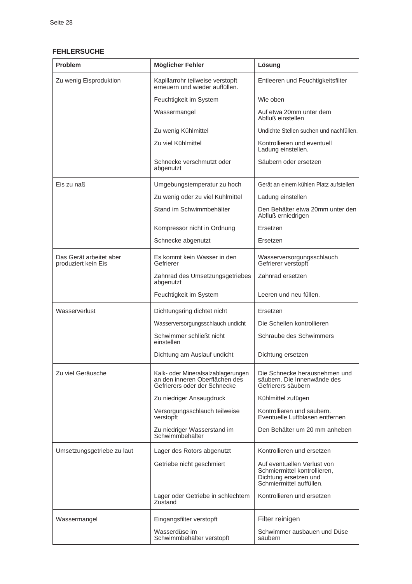#### **FEHLERSUCHE**

| <b>Problem</b>                                 | Möglicher Fehler                                                                                     | Lösung                                                                                                           |
|------------------------------------------------|------------------------------------------------------------------------------------------------------|------------------------------------------------------------------------------------------------------------------|
| Zu wenig Eisproduktion                         | Kapillarrohr teilweise verstopft<br>erneuern und wieder auffüllen.                                   | Entleeren und Feuchtigkeitsfilter                                                                                |
|                                                | Feuchtigkeit im System                                                                               | Wie oben                                                                                                         |
|                                                | Wassermangel                                                                                         | Auf etwa 20mm unter dem<br>Abfluß einstellen                                                                     |
|                                                | Zu wenig Kühlmittel                                                                                  | Undichte Stellen suchen und nachfüllen.                                                                          |
|                                                | Zu viel Kühlmittel                                                                                   | Kontrollieren und eventuell<br>Ladung einstellen.                                                                |
|                                                | Schnecke verschmutzt oder<br>abgenutzt                                                               | Säubern oder ersetzen                                                                                            |
| Eis zu naß                                     | Umgebungstemperatur zu hoch                                                                          | Gerät an einem kühlen Platz aufstellen                                                                           |
|                                                | Zu wenig oder zu viel Kühlmittel                                                                     | Ladung einstellen                                                                                                |
|                                                | Stand im Schwimmbehälter                                                                             | Den Behälter etwa 20mm unter den<br>Abfluß erniedrigen                                                           |
|                                                | Kompressor nicht in Ordnung                                                                          | <b>Frsetzen</b>                                                                                                  |
|                                                | Schnecke abgenutzt                                                                                   | Ersetzen                                                                                                         |
| Das Gerät arbeitet aber<br>produziert kein Eis | Es kommt kein Wasser in den<br>Gefrierer                                                             | Wasserversorgungsschlauch<br>Gefrierer verstopft                                                                 |
|                                                | Zahnrad des Umsetzungsgetriebes<br>abgenutzt                                                         | Zahnrad ersetzen                                                                                                 |
|                                                | Feuchtigkeit im System                                                                               | Leeren und neu füllen.                                                                                           |
| Wasserverlust                                  | Dichtungsring dichtet nicht                                                                          | Ersetzen                                                                                                         |
|                                                | Wasserversorgungsschlauch undicht                                                                    | Die Schellen kontrollieren                                                                                       |
|                                                | Schwimmer schließt nicht<br>einstellen                                                               | Schraube des Schwimmers                                                                                          |
|                                                | Dichtung am Auslauf undicht                                                                          | Dichtung ersetzen                                                                                                |
| Zu viel Geräusche                              | Kalk- oder Mineralsalzablagerungen<br>an den inneren Oberflächen des<br>Gefrierers oder der Schnecke | Die Schnecke herausnehmen und<br>säubern. Die Innenwände des<br>Gefrierers säubern                               |
|                                                | Zu niedriger Ansaugdruck                                                                             | Kühlmittel zufügen                                                                                               |
|                                                | Versorgungsschlauch teilweise<br>verstopft                                                           | Kontrollieren und säubern.<br>Eventuelle Luftblasen entfernen                                                    |
|                                                | Zu niedriger Wasserstand im<br>Schwimmbehälter                                                       | Den Behälter um 20 mm anheben                                                                                    |
| Umsetzungsgetriebe zu laut                     | Lager des Rotors abgenutzt                                                                           | Kontrollieren und ersetzen                                                                                       |
|                                                | Getriebe nicht geschmiert                                                                            | Auf eventuellen Verlust von<br>Schmiermittel kontrollieren,<br>Dichtung ersetzen und<br>Schmiermittel auffüllen. |
|                                                | Lager oder Getriebe in schlechtem<br>Zustand                                                         | Kontrollieren und ersetzen                                                                                       |
| Wassermangel                                   | Eingangsfilter verstopft                                                                             | Filter reinigen                                                                                                  |
|                                                | Wasserdüse im<br>Schwimmbehälter verstopft                                                           | Schwimmer ausbauen und Düse<br>säubern                                                                           |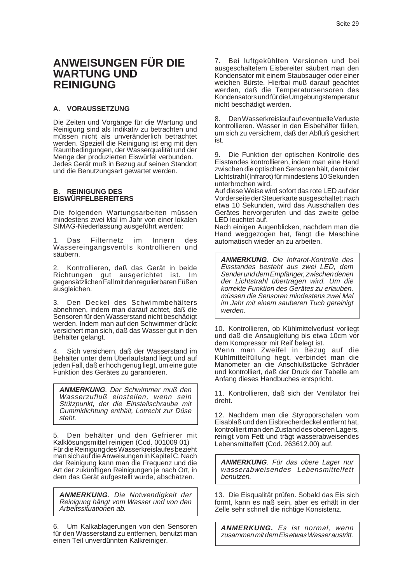# **ANWEISUNGEN FÜR DIE WARTUNG UND REINIGUNG**

#### **A. VORAUSSETZUNG**

Die Zeiten und Vorgänge für die Wartung und Reinigung sind als Indikativ zu betrachten und müssen nicht als unveränderlich betrachtet werden. Speziell die Reinigung ist eng mit den Raumbedingungen, der Wasserqualität und der Menge der produzierten Eiswürfel verbunden. Jedes Gerät muß in Bezug auf seinen Standort und die Benutzungsart gewartet werden.

#### **B. REINIGUNG DES EISWÜRFELBEREITERS**

Die folgenden Wartungsarbeiten müssen mindestens zwei Mal im Jahr von einer lokalen SIMAG-Niederlassung ausgeführt werden:

Das Filternetz im Innern des Wassereingangsventils kontrollieren und säubern.

2. Kontrollieren, daß das Gerät in beide Richtungen gut ausgerichtet ist. Im gegensätzlichen Fall mit den regulierbaren Füßen ausgleichen.

3. Den Deckel des Schwimmbehälters abnehmen, indem man darauf achtet, daß die Sensoren für den Wasserstand nicht beschädigt werden. Indem man auf den Schwimmer drückt versichert man sich, daß das Wasser gut in den Behälter gelangt.

4. Sich versichern, daß der Wasserstand im Behälter unter dem Überlaufstand liegt und auf jeden Fall, daß er hoch genug liegt, um eine gute Funktion des Gerätes zu garantieren.

**ANMERKUNG**. Der Schwimmer muß den Wasserzufluß einstellen, wenn sein Stützpunkt, der die Einstellschraube mit Gummidichtung enthält, Lotrecht zur Düse steht.

5. Den behälter und den Gefrierer mit Kalklösungsmittel reinigen (Cod. 001009 01) Für die Reinigung des Wasserkreislaufes bezieht man sich auf die Anweisungen in Kapitel C. Nach der Reinigung kann man die Frequenz und die Art der zukünftigen Reinigungen je nach Ort, in dem das Gerät aufgestellt wurde, abschätzen.

**ANMERKUNG**. Die Notwendigkeit der Reinigung hängt vom Wasser und von den Arbeitssituationen ab.

6. Um Kalkablagerungen von den Sensoren für den Wasserstand zu entfernen, benutzt man einen Teil unverdünnten Kalkreiniger.

7. Bei luftgekühlten Versionen und bei ausgeschaltetem Eisbereiter säubert man den Kondensator mit einem Staubsauger oder einer weichen Bürste. Hierbai muß darauf geachtet werden, daß die Temperatursensoren des Kondensators und für die Umgebungstemperatur nicht beschädigt werden.

8. Den Wasserkreislauf auf eventuelle Verluste kontrollieren. Wasser in den Eisbehälter füllen, um sich zu versichern, daß der Abfluß gesichert ist.

9. Die Funktion der optischen Kontrolle des Eisstandes kontrollieren, indem man eine Hand zwischen die optischen Sensoren hält, damit der Lichtstrahl (Infrarot) für mindestens 10 Sekunden unterbrochen wird.

Auf diese Weise wird sofort das rote LED auf der Vorderseite der Steuerkarte ausgeschaltet; nach etwa 10 Sekunden, wird das Ausschalten des Gerätes hervorgerufen und das zweite gelbe LED leuchtet auf.

Nach einigen Augenblicken, nachdem man die Hand weggezogen hat, fängt die Maschine automatisch wieder an zu arbeiten.

**ANMERKUNG**. Die Infrarot-Kontrolle des Eisstandes besteht aus zwei LED, dem Sender und dem Empfänger, zwischen denen der Lichtstrahl übertragen wird. Um die korrekte Funktion des Gerätes zu erlauben, müssen die Sensoren mindestens zwei Mal im Jahr mit einem sauberen Tuch gereinigt werden.

10. Kontrollieren, ob Kühlmittelverlust vorliegt und daß die Ansaugleitung bis etwa 10cm vor dem Kompressor mit Reif belegt ist. Wenn man Zweifel in Bezug auf die Kühlmittelfüllung hegt, verbindet man die Manometer an die Anschlußstücke Schräder und kontrolliert, daß der Druck der Tabelle am Anfang dieses Handbuches entspricht.

11. Kontrollieren, daß sich der Ventilator frei dreht.

12. Nachdem man die Styroporschalen vom Eisablaß und den Eisbrecherdeckel entfernt hat, kontrolliert man den Zustand des oberen Lagers, reinigt vom Fett und trägt wasserabweisendes Lebensmittelfett (Cod. 263612.00) auf.

**ANMERKUNG**. Für das obere Lager nur wasserabweisendes Lebensmittelfett benutzen.

13. Die Eisqualität prüfen. Sobald das Eis sich formt, kann es naß sein, aber es erhält in der Zelle sehr schnell die richtige Konsistenz.

**ANMERKUNG.** Es ist normal, wenn zusammen mit dem Eis etwas Wasser austritt.